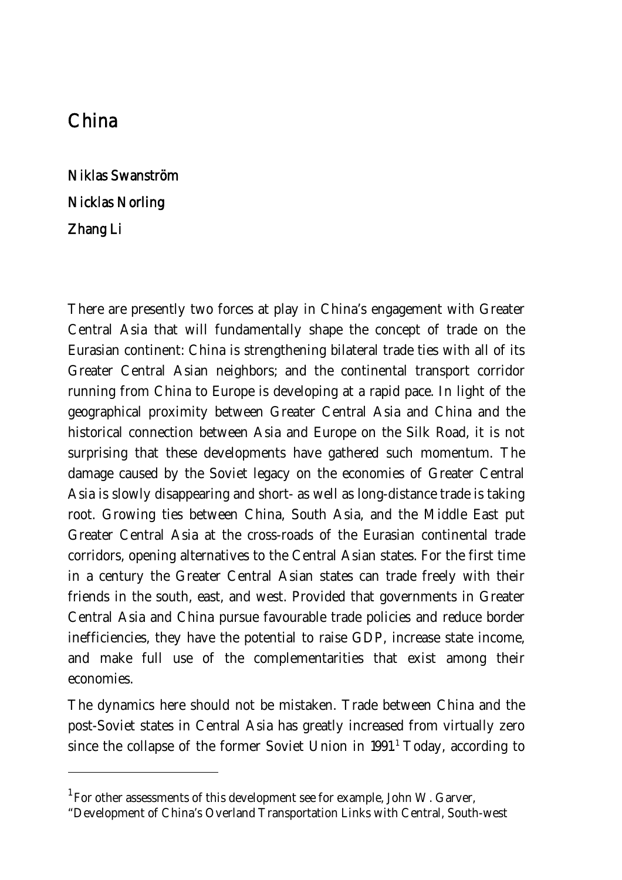## China

 $\overline{a}$ 

# Niklas Swanström Nicklas Norling Zhang Li

There are presently two forces at play in China's engagement with Greater Central Asia that will fundamentally shape the concept of trade on the Eurasian continent: China is strengthening bilateral trade ties with all of its Greater Central Asian neighbors; and the continental transport corridor running from China to Europe is developing at a rapid pace. In light of the geographical proximity between Greater Central Asia and China and the historical connection between Asia and Europe on the Silk Road, it is not surprising that these developments have gathered such momentum. The damage caused by the Soviet legacy on the economies of Greater Central Asia is slowly disappearing and short- as well as long-distance trade is taking root. Growing ties between China, South Asia, and the Middle East put Greater Central Asia at the cross-roads of the Eurasian continental trade corridors, opening alternatives to the Central Asian states. For the first time in a century the Greater Central Asian states can trade freely with their friends in the south, east, and west. Provided that governments in Greater Central Asia and China pursue favourable trade policies and reduce border inefficiencies, they have the potential to raise GDP, increase state income, and make full use of the complementarities that exist among their economies.

The dynamics here should not be mistaken. Trade between China and the post-Soviet states in Central Asia has greatly increased from virtually zero since the collapse of the former Soviet Union in  $1991<sup>1</sup>$  Today, according to

 $^{\rm 1}$  For other assessments of this development see for example, John W. Garver,

<sup>&</sup>quot;Development of China's Overland Transportation Links with Central, South-west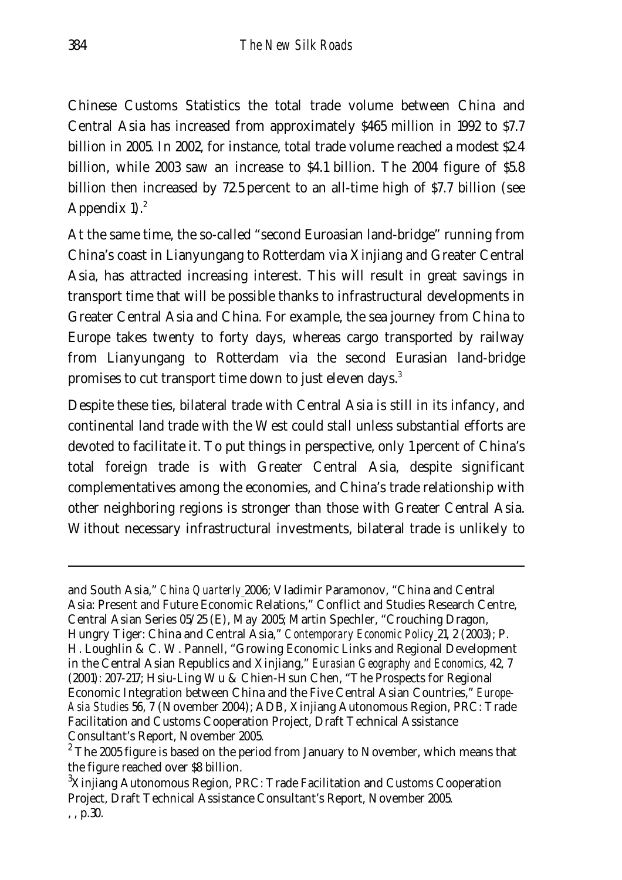Chinese Customs Statistics the total trade volume between China and Central Asia has increased from approximately \$465 million in 1992 to \$7.7 billion in 2005. In 2002, for instance, total trade volume reached a modest \$2.4 billion, while 2003 saw an increase to \$4.1 billion. The 2004 figure of \$5.8 billion then increased by 72.5 percent to an all-time high of \$7.7 billion (see Appendix 1). $^2$ 

At the same time, the so-called "second Euroasian land-bridge" running from China's coast in Lianyungang to Rotterdam via Xinjiang and Greater Central Asia, has attracted increasing interest. This will result in great savings in transport time that will be possible thanks to infrastructural developments in Greater Central Asia and China. For example, the sea journey from China to Europe takes twenty to forty days, whereas cargo transported by railway from Lianyungang to Rotterdam via the second Eurasian land-bridge promises to cut transport time down to just eleven days.<sup>3</sup>

Despite these ties, bilateral trade with Central Asia is still in its infancy, and continental land trade with the West could stall unless substantial efforts are devoted to facilitate it. To put things in perspective, only 1 percent of China's total foreign trade is with Greater Central Asia, despite significant complementatives among the economies, and China's trade relationship with other neighboring regions is stronger than those with Greater Central Asia. Without necessary infrastructural investments, bilateral trade is unlikely to

and South Asia," *China Quarterly* 2006; Vladimir Paramonov, "China and Central Asia: Present and Future Economic Relations," Conflict and Studies Research Centre, Central Asian Series 05/25 (E), May 2005; Martin Spechler, "Crouching Dragon, Hungry Tiger: China and Central Asia," *Contemporary Economic Policy* 21, 2 (2003); P. H. Loughlin & C. W. Pannell, "Growing Economic Links and Regional Development in the Central Asian Republics and Xinjiang," *Eurasian Geography and Economics*, 42, 7 (2001): 207-217; Hsiu-Ling Wu & Chien-Hsun Chen, "The Prospects for Regional Economic Integration between China and the Five Central Asian Countries," *Europe-Asia Studies* 56, 7 (November 2004); ADB, Xinjiang Autonomous Region, PRC: Trade Facilitation and Customs Cooperation Project, Draft Technical Assistance Consultant's Report, November 2005.

 $^2$  The 2005 figure is based on the period from January to November, which means that the figure reached over \$8 billion.

 $\mathrm{^{3}\!X}$ injiang Autonomous Region, PRC: Trade Facilitation and Customs Cooperation Project, Draft Technical Assistance Consultant's Report, November 2005.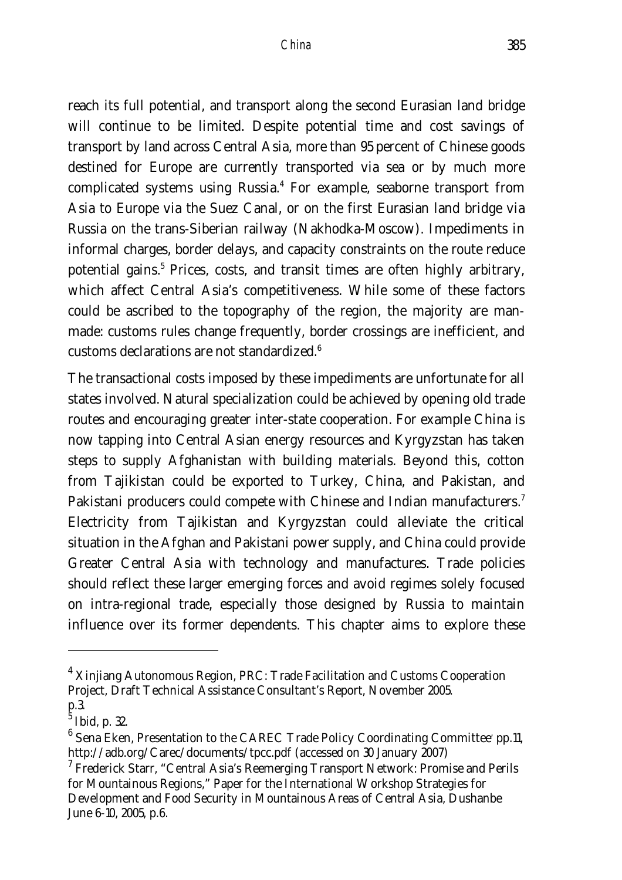reach its full potential, and transport along the second Eurasian land bridge will continue to be limited. Despite potential time and cost savings of transport by land across Central Asia, more than 95 percent of Chinese goods destined for Europe are currently transported via sea or by much more complicated systems using Russia.<sup>4</sup> For example, seaborne transport from Asia to Europe via the Suez Canal, or on the first Eurasian land bridge via Russia on the trans-Siberian railway (Nakhodka-Moscow). Impediments in informal charges, border delays, and capacity constraints on the route reduce potential gains.<sup>5</sup> Prices, costs, and transit times are often highly arbitrary, which affect Central Asia's competitiveness. While some of these factors could be ascribed to the topography of the region, the majority are manmade: customs rules change frequently, border crossings are inefficient, and customs declarations are not standardized.<sup>6</sup>

The transactional costs imposed by these impediments are unfortunate for all states involved. Natural specialization could be achieved by opening old trade routes and encouraging greater inter-state cooperation. For example China is now tapping into Central Asian energy resources and Kyrgyzstan has taken steps to supply Afghanistan with building materials. Beyond this, cotton from Tajikistan could be exported to Turkey, China, and Pakistan, and Pakistani producers could compete with Chinese and Indian manufacturers.<sup>7</sup> Electricity from Tajikistan and Kyrgyzstan could alleviate the critical situation in the Afghan and Pakistani power supply, and China could provide Greater Central Asia with technology and manufactures. Trade policies should reflect these larger emerging forces and avoid regimes solely focused on intra-regional trade, especially those designed by Russia to maintain influence over its former dependents. This chapter aims to explore these

 $^4$  Xinjiang Autonomous Region, PRC: Trade Facilitation and Customs Cooperation Project, Draft Technical Assistance Consultant's Report, November 2005. p.3.

<sup>5</sup> Ibid, p. 32.

 $^6$  Sena Eken, Presentation to the CAREC Trade Policy Coordinating Committee' pp.11, http://adb.org/Carec/documents/tpcc.pdf (accessed on 30 January 2007)

<sup>&</sup>lt;sup>7</sup> Frederick Starr, "Central Asia's Reemerging Transport Network: Promise and Perils for Mountainous Regions," Paper for the International Workshop Strategies for Development and Food Security in Mountainous Areas of Central Asia, Dushanbe June 6-10, 2005, p.6.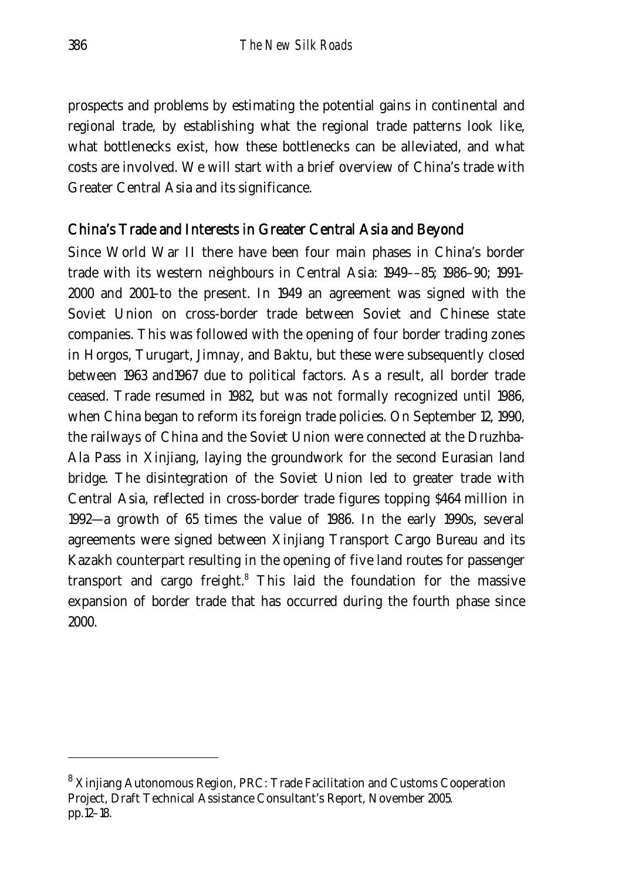prospects and problems by estimating the potential gains in continental and regional trade, by establishing what the regional trade patterns look like, what bottlenecks exist, how these bottlenecks can be alleviated, and what costs are involved. We will start with a brief overview of China's trade with Greater Central Asia and its significance.

## China's Trade and Interests in Greater Central Asia and Beyond

Since World War II there have been four main phases in China's border trade with its western neighbours in Central Asia: 1949––85; 1986–90; 1991– 2000 and 2001–to the present. In 1949 an agreement was signed with the Soviet Union on cross-border trade between Soviet and Chinese state companies. This was followed with the opening of four border trading zones in Horgos, Turugart, Jimnay, and Baktu, but these were subsequently closed between 1963 and1967 due to political factors. As a result, all border trade ceased. Trade resumed in 1982, but was not formally recognized until 1986, when China began to reform its foreign trade policies. On September 12, 1990, the railways of China and the Soviet Union were connected at the Druzhba-Ala Pass in Xinjiang, laying the groundwork for the second Eurasian land bridge. The disintegration of the Soviet Union led to greater trade with Central Asia, reflected in cross-border trade figures topping \$464 million in 1992—a growth of 65 times the value of 1986. In the early 1990s, several agreements were signed between Xinjiang Transport Cargo Bureau and its Kazakh counterpart resulting in the opening of five land routes for passenger transport and cargo freight.<sup>8</sup> This laid the foundation for the massive expansion of border trade that has occurred during the fourth phase since 2000.

 $^8$  Xinjiang Autonomous Region, PRC: Trade Facilitation and Customs Cooperation Project, Draft Technical Assistance Consultant's Report, November 2005. pp.12–18.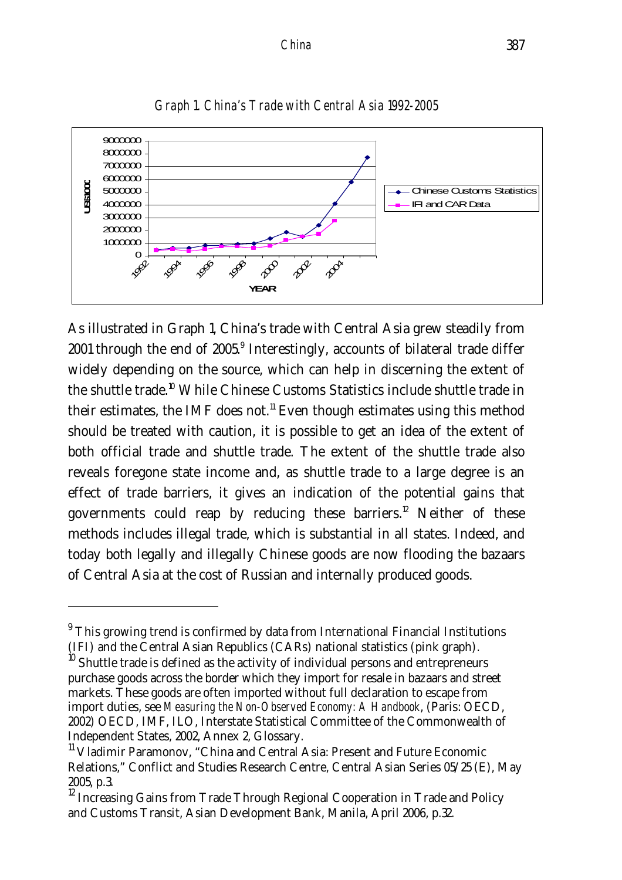#### *China* 387



*Graph 1. China's Trade with Central Asia 1992-2005* 

As illustrated in Graph 1, China's trade with Central Asia grew steadily from  $2001$  through the end of  $2005.9$  Interestingly, accounts of bilateral trade differ widely depending on the source, which can help in discerning the extent of the shuttle trade.10 While Chinese Customs Statistics include shuttle trade in their estimates, the IMF does not.<sup>11</sup> Even though estimates using this method should be treated with caution, it is possible to get an idea of the extent of both official trade and shuttle trade. The extent of the shuttle trade also reveals foregone state income and, as shuttle trade to a large degree is an effect of trade barriers, it gives an indication of the potential gains that governments could reap by reducing these barriers.<sup>12</sup> Neither of these methods includes illegal trade, which is substantial in all states. Indeed, and today both legally and illegally Chinese goods are now flooding the bazaars of Central Asia at the cost of Russian and internally produced goods.

 $^9$  This growing trend is confirmed by data from International Financial Institutions (IFI) and the Central Asian Republics (CARs) national statistics (pink graph).  $^{10}$  Shuttle trade is defined as the activity of individual persons and entrepreneurs

purchase goods across the border which they import for resale in bazaars and street markets. These goods are often imported without full declaration to escape from import duties, see *Measuring the Non-Observed Economy: A Handbook*, (Paris: OECD, 2002) OECD, IMF, ILO, Interstate Statistical Committee of the Commonwealth of Independent States, 2002, Annex 2, Glossary.

<sup>&</sup>lt;sup>11</sup> Vladimir Paramonov, "China and Central Asia: Present and Future Economic Relations," Conflict and Studies Research Centre, Central Asian Series 05/25 (E), May 2005, p.3.

<sup>&</sup>lt;sup>12</sup> Increasing Gains from Trade Through Regional Cooperation in Trade and Policy and Customs Transit, Asian Development Bank, Manila, April 2006, p.32.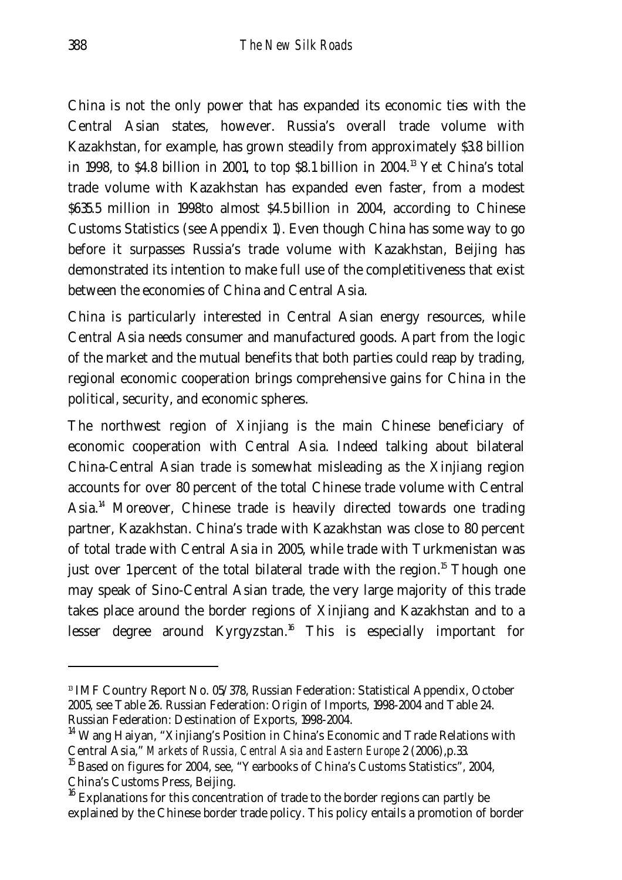China is not the only power that has expanded its economic ties with the Central Asian states, however. Russia's overall trade volume with Kazakhstan, for example, has grown steadily from approximately \$3.8 billion in 1998, to \$4.8 billion in 2001, to top \$8.1 billion in 2004.13 Yet China's total trade volume with Kazakhstan has expanded even faster, from a modest \$635.5 million in 1998to almost \$4.5 billion in 2004, according to Chinese Customs Statistics (see Appendix 1). Even though China has some way to go before it surpasses Russia's trade volume with Kazakhstan, Beijing has demonstrated its intention to make full use of the completitiveness that exist between the economies of China and Central Asia.

China is particularly interested in Central Asian energy resources, while Central Asia needs consumer and manufactured goods. Apart from the logic of the market and the mutual benefits that both parties could reap by trading, regional economic cooperation brings comprehensive gains for China in the political, security, and economic spheres.

The northwest region of Xinjiang is the main Chinese beneficiary of economic cooperation with Central Asia. Indeed talking about bilateral China-Central Asian trade is somewhat misleading as the Xinjiang region accounts for over 80 percent of the total Chinese trade volume with Central Asia.<sup>14</sup> Moreover, Chinese trade is heavily directed towards one trading partner, Kazakhstan. China's trade with Kazakhstan was close to 80 percent of total trade with Central Asia in 2005, while trade with Turkmenistan was just over 1 percent of the total bilateral trade with the region.<sup>15</sup> Though one may speak of Sino-Central Asian trade, the very large majority of this trade takes place around the border regions of Xinjiang and Kazakhstan and to a lesser degree around Kyrgyzstan.<sup>16</sup> This is especially important for

<sup>&</sup>lt;sup>13</sup> IMF Country Report No. 05/378, Russian Federation: Statistical Appendix, October 2005, see Table 26. Russian Federation: Origin of Imports, 1998-2004 and Table 24. Russian Federation: Destination of Exports, 1998-2004.

<sup>&</sup>lt;sup>14</sup> Wang Haiyan, "Xinjiang's Position in China's Economic and Trade Relations with Central Asia," *Markets of Russia, Central Asia and Eastern Europe* 2 (2006), p.33.

<sup>&</sup>lt;sup>15</sup> Based on figures for 2004, see, "Yearbooks of China's Customs Statistics", 2004, China's Customs Press, Beijing.

 $16$  Explanations for this concentration of trade to the border regions can partly be explained by the Chinese border trade policy. This policy entails a promotion of border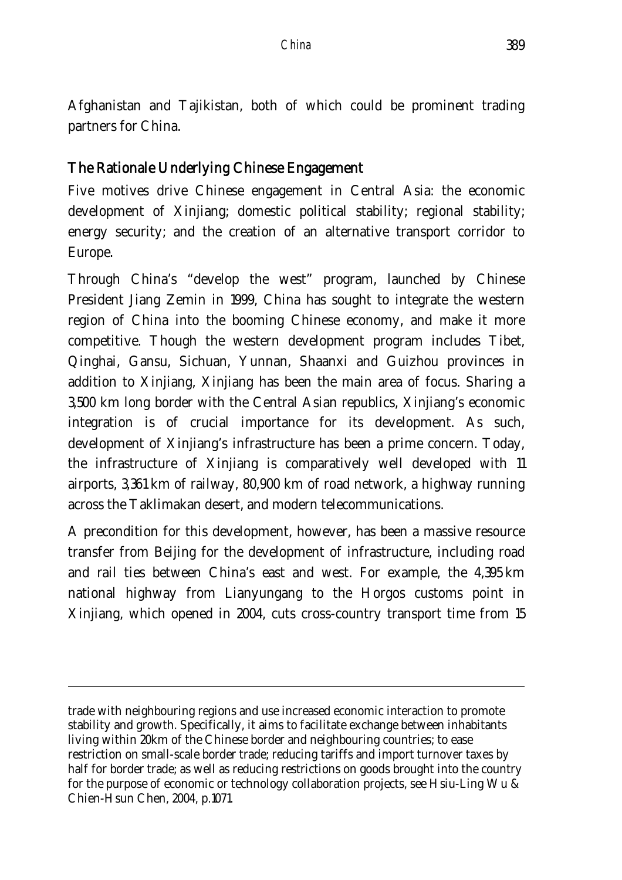Afghanistan and Tajikistan, both of which could be prominent trading

## The Rationale Underlying Chinese Engagement

partners for China.

 $\overline{a}$ 

Five motives drive Chinese engagement in Central Asia: the economic development of Xinjiang; domestic political stability; regional stability; energy security; and the creation of an alternative transport corridor to Europe.

Through China's "develop the west" program, launched by Chinese President Jiang Zemin in 1999, China has sought to integrate the western region of China into the booming Chinese economy, and make it more competitive. Though the western development program includes Tibet, Qinghai, Gansu, Sichuan, Yunnan, Shaanxi and Guizhou provinces in addition to Xinjiang, Xinjiang has been the main area of focus. Sharing a 3,500 km long border with the Central Asian republics, Xinjiang's economic integration is of crucial importance for its development. As such, development of Xinjiang's infrastructure has been a prime concern. Today, the infrastructure of Xinjiang is comparatively well developed with 11 airports, 3,361 km of railway, 80,900 km of road network, a highway running across the Taklimakan desert, and modern telecommunications.

A precondition for this development, however, has been a massive resource transfer from Beijing for the development of infrastructure, including road and rail ties between China's east and west. For example, the 4,395 km national highway from Lianyungang to the Horgos customs point in Xinjiang, which opened in 2004, cuts cross-country transport time from 15

trade with neighbouring regions and use increased economic interaction to promote stability and growth. Specifically, it aims to facilitate exchange between inhabitants living within 20km of the Chinese border and neighbouring countries; to ease restriction on small-scale border trade; reducing tariffs and import turnover taxes by half for border trade; as well as reducing restrictions on goods brought into the country for the purpose of economic or technology collaboration projects, see Hsiu-Ling Wu & Chien-Hsun Chen, 2004, p.1071.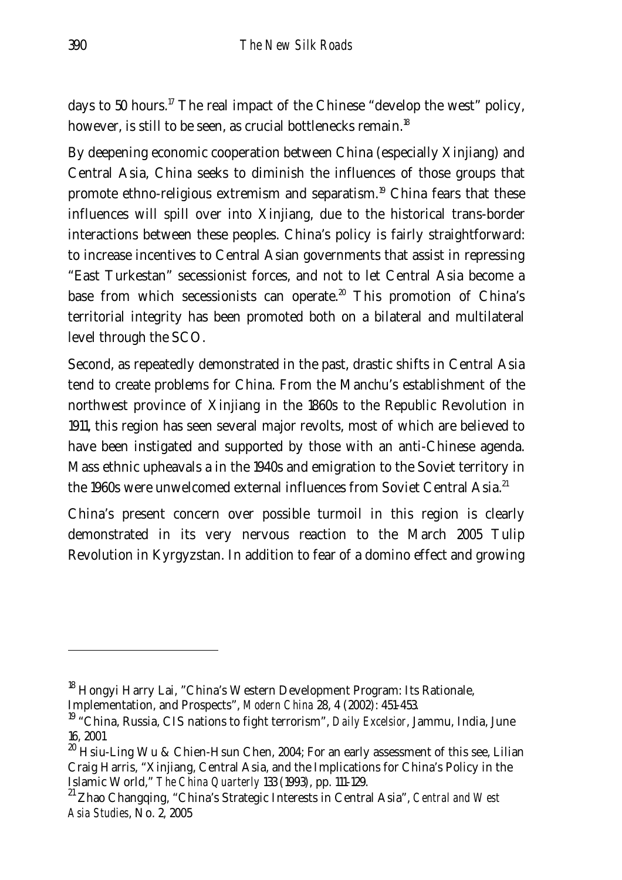days to 50 hours.<sup>17</sup> The real impact of the Chinese "develop the west" policy, however, is still to be seen, as crucial bottlenecks remain.<sup>18</sup>

By deepening economic cooperation between China (especially Xinjiang) and Central Asia, China seeks to diminish the influences of those groups that promote ethno-religious extremism and separatism.19 China fears that these influences will spill over into Xinjiang, due to the historical trans-border interactions between these peoples. China's policy is fairly straightforward: to increase incentives to Central Asian governments that assist in repressing "East Turkestan" secessionist forces, and not to let Central Asia become a base from which secessionists can operate.<sup>20</sup> This promotion of China's territorial integrity has been promoted both on a bilateral and multilateral level through the SCO.

Second, as repeatedly demonstrated in the past, drastic shifts in Central Asia tend to create problems for China. From the Manchu's establishment of the northwest province of Xinjiang in the 1860s to the Republic Revolution in 1911, this region has seen several major revolts, most of which are believed to have been instigated and supported by those with an anti-Chinese agenda. Mass ethnic upheavals a in the 1940s and emigration to the Soviet territory in the 1960s were unwelcomed external influences from Soviet Central Asia.<sup>21</sup>

China's present concern over possible turmoil in this region is clearly demonstrated in its very nervous reaction to the March 2005 Tulip Revolution in Kyrgyzstan. In addition to fear of a domino effect and growing

<sup>18</sup> Hongyi Harry Lai, "China's Western Development Program: Its Rationale, Implementation, and Prospects", *Modern China* 28, 4 (2002): 451-453.

<sup>19 &</sup>quot;China, Russia, CIS nations to fight terrorism", *Daily Excelsior*, Jammu, India, June 16, 2001

<sup>&</sup>lt;sup>20</sup> Hsiu-Ling Wu & Chien-Hsun Chen, 2004; For an early assessment of this see, Lilian Craig Harris, "Xinjiang, Central Asia, and the Implications for China's Policy in the Islamic World," *The China Quarterly* 133 (1993), pp. 111-129.

<sup>21</sup> Zhao Changqing, "China's Strategic Interests in Central Asia", *Central and West Asia Studies*, No. 2, 2005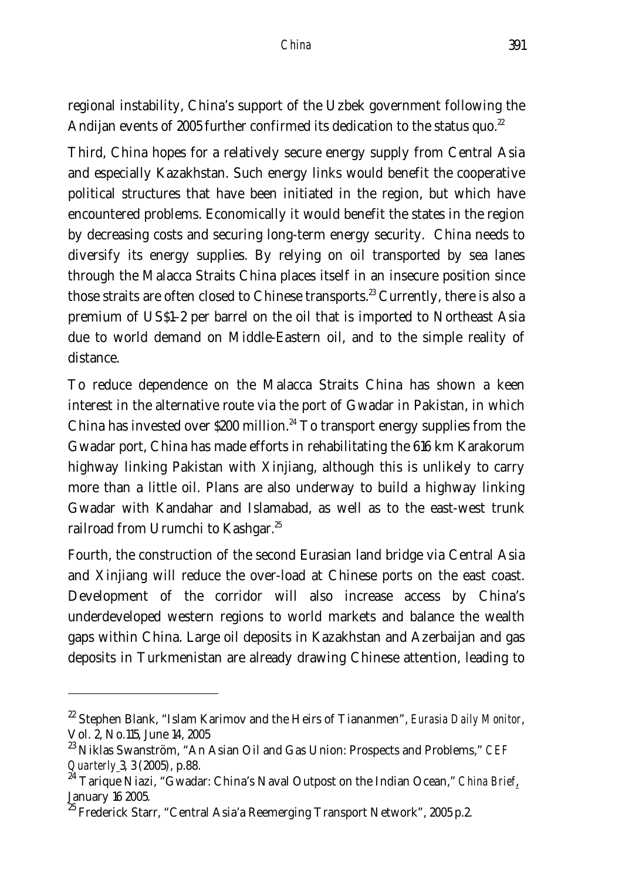regional instability, China's support of the Uzbek government following the Andijan events of 2005 further confirmed its dedication to the status quo.<sup>22</sup>

Third, China hopes for a relatively secure energy supply from Central Asia and especially Kazakhstan. Such energy links would benefit the cooperative political structures that have been initiated in the region, but which have encountered problems. Economically it would benefit the states in the region by decreasing costs and securing long-term energy security. China needs to diversify its energy supplies. By relying on oil transported by sea lanes through the Malacca Straits China places itself in an insecure position since those straits are often closed to Chinese transports.<sup>23</sup> Currently, there is also a premium of US\$1–2 per barrel on the oil that is imported to Northeast Asia due to world demand on Middle-Eastern oil, and to the simple reality of distance.

To reduce dependence on the Malacca Straits China has shown a keen interest in the alternative route via the port of Gwadar in Pakistan, in which China has invested over  $$200$  million.<sup>24</sup> To transport energy supplies from the Gwadar port, China has made efforts in rehabilitating the 616 km Karakorum highway linking Pakistan with Xinjiang, although this is unlikely to carry more than a little oil. Plans are also underway to build a highway linking Gwadar with Kandahar and Islamabad, as well as to the east-west trunk railroad from Urumchi to Kashgar.25

Fourth, the construction of the second Eurasian land bridge via Central Asia and Xinjiang will reduce the over-load at Chinese ports on the east coast. Development of the corridor will also increase access by China's underdeveloped western regions to world markets and balance the wealth gaps within China. Large oil deposits in Kazakhstan and Azerbaijan and gas deposits in Turkmenistan are already drawing Chinese attention, leading to

<sup>22</sup> Stephen Blank, "Islam Karimov and the Heirs of Tiananmen", *Eurasia Daily Monitor*, Vol. 2, No.115, June 14, 2005

<sup>23</sup> Niklas Swanström, "An Asian Oil and Gas Union: Prospects and Problems," *CEF Quarterly* 3, 3 (2005), p.88.

<sup>24</sup> Tarique Niazi, "Gwadar: China's Naval Outpost on the Indian Ocean," *China Brief*, January 16 2005.

<sup>&</sup>lt;sup>25</sup> Frederick Starr, "Central Asia'a Reemerging Transport Network", 2005 p.2.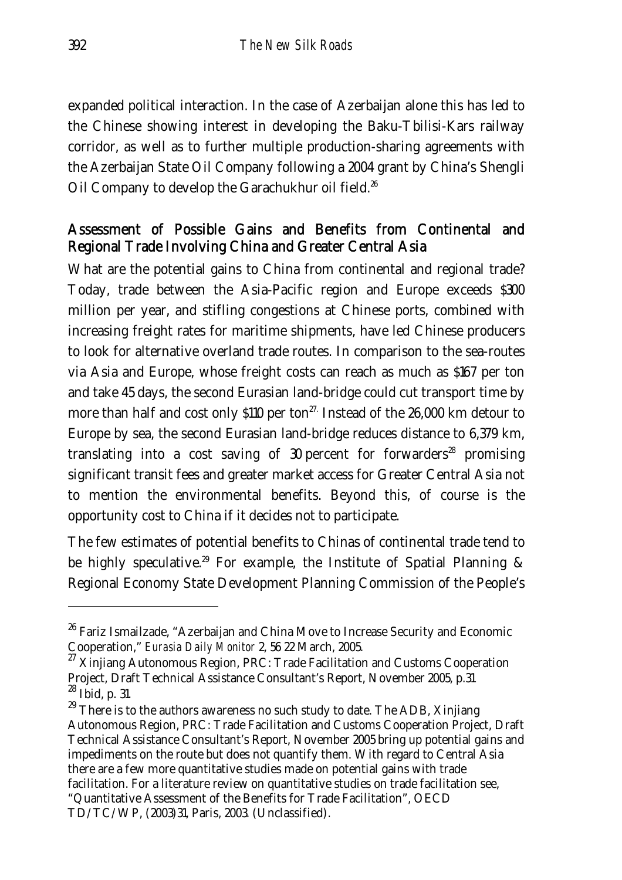expanded political interaction. In the case of Azerbaijan alone this has led to the Chinese showing interest in developing the Baku-Tbilisi-Kars railway corridor, as well as to further multiple production-sharing agreements with the Azerbaijan State Oil Company following a 2004 grant by China's Shengli Oil Company to develop the Garachukhur oil field.<sup>26</sup>

## Assessment of Possible Gains and Benefits from Continental and Regional Trade Involving China and Greater Central Asia

What are the potential gains to China from continental and regional trade? Today, trade between the Asia-Pacific region and Europe exceeds \$300 million per year, and stifling congestions at Chinese ports, combined with increasing freight rates for maritime shipments, have led Chinese producers to look for alternative overland trade routes. In comparison to the sea-routes via Asia and Europe, whose freight costs can reach as much as \$167 per ton and take 45 days, the second Eurasian land-bridge could cut transport time by more than half and cost only \$110 per ton<sup>27.</sup> Instead of the 26,000 km detour to Europe by sea, the second Eurasian land-bridge reduces distance to 6,379 km, translating into a cost saving of 30 percent for forwarders $^{28}$  promising significant transit fees and greater market access for Greater Central Asia not to mention the environmental benefits. Beyond this, of course is the opportunity cost to China if it decides not to participate.

The few estimates of potential benefits to Chinas of continental trade tend to be highly speculative.<sup>29</sup> For example, the Institute of Spatial Planning  $\&$ Regional Economy State Development Planning Commission of the People's

 $26$  Fariz Ismailzade, "Azerbaijan and China Move to Increase Security and Economic Cooperation," *Eurasia Daily Monitor* 2, 56 22 March, 2005.

 $27$  Xinjiang Autonomous Region, PRC: Trade Facilitation and Customs Cooperation Project, Draft Technical Assistance Consultant's Report, November 2005, p.31 28 Ibid, p. 31.

 $29$  There is to the authors awareness no such study to date. The ADB, Xinjiang Autonomous Region, PRC: Trade Facilitation and Customs Cooperation Project, Draft Technical Assistance Consultant's Report, November 2005 bring up potential gains and impediments on the route but does not quantify them. With regard to Central Asia there are a few more quantitative studies made on potential gains with trade facilitation. For a literature review on quantitative studies on trade facilitation see, "Quantitative Assessment of the Benefits for Trade Facilitation", OECD TD/TC/WP, (2003)31, Paris, 2003. (Unclassified).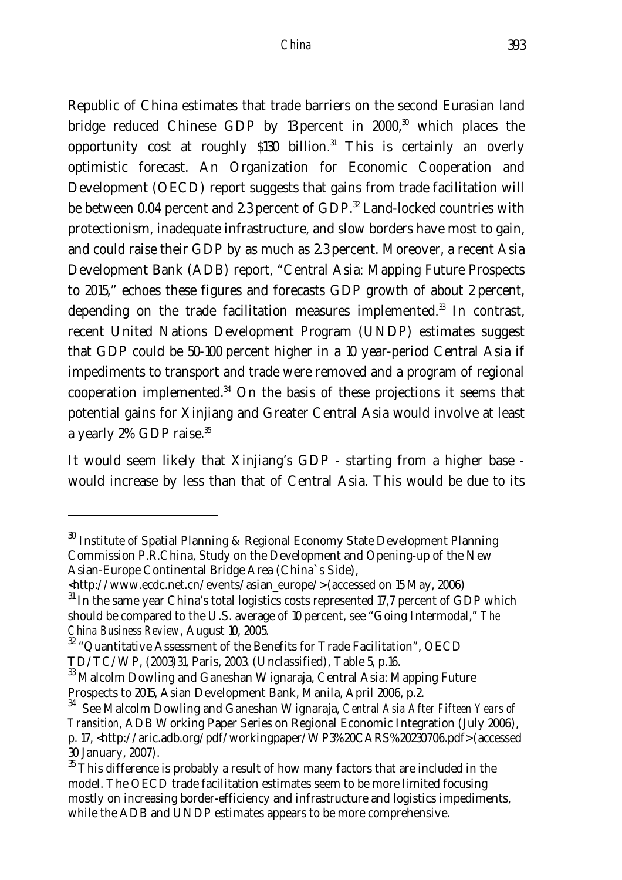Republic of China estimates that trade barriers on the second Eurasian land bridge reduced Chinese GDP by 13 percent in  $2000$ ,<sup>30</sup> which places the opportunity cost at roughly \$130 billion.<sup>31</sup> This is certainly an overly optimistic forecast. An Organization for Economic Cooperation and Development (OECD) report suggests that gains from trade facilitation will be between 0.04 percent and 2.3 percent of GDP.<sup>32</sup> Land-locked countries with protectionism, inadequate infrastructure, and slow borders have most to gain, and could raise their GDP by as much as 2.3 percent. Moreover, a recent Asia Development Bank (ADB) report, "Central Asia: Mapping Future Prospects to 2015," echoes these figures and forecasts GDP growth of about 2 percent, depending on the trade facilitation measures implemented.<sup>33</sup> In contrast, recent United Nations Development Program (UNDP) estimates suggest that GDP could be 50-100 percent higher in a 10 year-period Central Asia if impediments to transport and trade were removed and a program of regional cooperation implemented. $34$  On the basis of these projections it seems that potential gains for Xinjiang and Greater Central Asia would involve at least a yearly 2% GDP raise.<sup>35</sup>

It would seem likely that Xinjiang's GDP - starting from a higher base would increase by less than that of Central Asia. This would be due to its

<sup>30</sup> Institute of Spatial Planning & Regional Economy State Development Planning Commission P.R.China, Study on the Development and Opening-up of the New Asian-Europe Continental Bridge Area (China`s Side),

<sup>&</sup>lt;http://www.ecdc.net.cn/events/asian\_europe/> (accessed on 15 May, 2006) <sup>31</sup> In the same year China's total logistics costs represented 17,7 percent of GDP which should be compared to the U.S. average of 10 percent, see "Going Intermodal," *The* 

*China Business Review*, August 10, 2005.<br><sup>32</sup> "Quantitative Assessment of the Benefits for Trade Facilitation", OECD TD/TC/WP, (2003)31, Paris, 2003. (Unclassified), Table 5, p.16.

<sup>33</sup> Malcolm Dowling and Ganeshan Wignaraja, Central Asia: Mapping Future Prospects to 2015, Asian Development Bank, Manila, April 2006, p.2.

<sup>34</sup> See Malcolm Dowling and Ganeshan Wignaraja, *Central Asia After Fifteen Years of Transition*, ADB Working Paper Series on Regional Economic Integration (July 2006), p. 17, <http://aric.adb.org/pdf/workingpaper/WP3%20CARS%20230706.pdf> (accessed 30 January, 2007).

 $35$  This difference is probably a result of how many factors that are included in the model. The OECD trade facilitation estimates seem to be more limited focusing mostly on increasing border-efficiency and infrastructure and logistics impediments, while the ADB and UNDP estimates appears to be more comprehensive.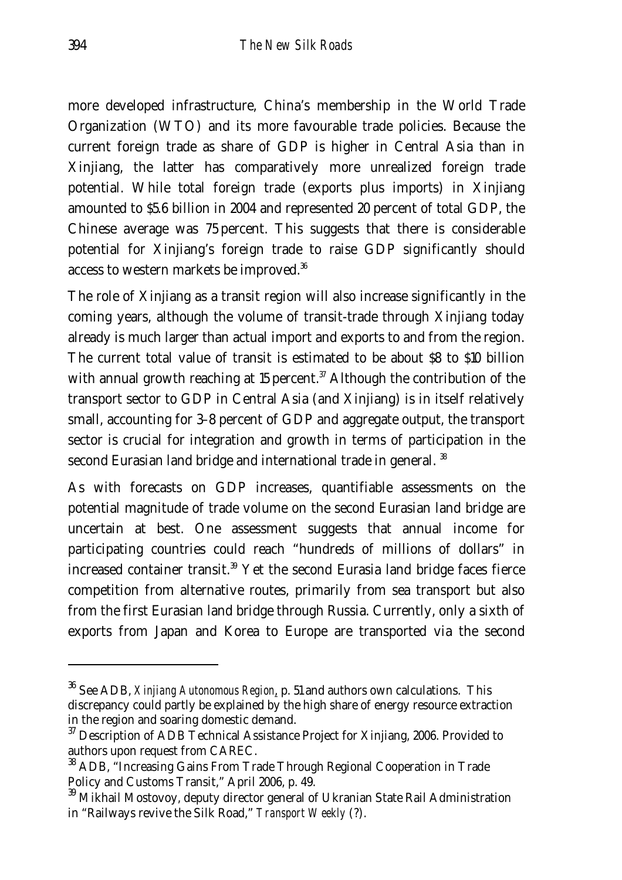more developed infrastructure, China's membership in the World Trade Organization (WTO) and its more favourable trade policies. Because the current foreign trade as share of GDP is higher in Central Asia than in Xinjiang, the latter has comparatively more unrealized foreign trade potential. While total foreign trade (exports plus imports) in Xinjiang amounted to \$5.6 billion in 2004 and represented 20 percent of total GDP, the Chinese average was 75 percent. This suggests that there is considerable potential for Xinjiang's foreign trade to raise GDP significantly should access to western markets be improved.<sup>36</sup>

The role of Xinjiang as a transit region will also increase significantly in the coming years, although the volume of transit-trade through Xinjiang today already is much larger than actual import and exports to and from the region. The current total value of transit is estimated to be about \$8 to \$10 billion with annual growth reaching at 15 percent.<sup>37</sup> Although the contribution of the transport sector to GDP in Central Asia (and Xinjiang) is in itself relatively small, accounting for 3–8 percent of GDP and aggregate output, the transport sector is crucial for integration and growth in terms of participation in the second Eurasian land bridge and international trade in general. <sup>38</sup>

As with forecasts on GDP increases, quantifiable assessments on the potential magnitude of trade volume on the second Eurasian land bridge are uncertain at best. One assessment suggests that annual income for participating countries could reach "hundreds of millions of dollars" in increased container transit.<sup>39</sup> Yet the second Eurasia land bridge faces fierce competition from alternative routes, primarily from sea transport but also from the first Eurasian land bridge through Russia. Currently, only a sixth of exports from Japan and Korea to Europe are transported via the second

<sup>36</sup> See ADB, *Xinjiang Autonomous Region*, p. 51 and authors own calculations. This discrepancy could partly be explained by the high share of energy resource extraction in the region and soaring domestic demand.

<sup>&</sup>lt;sup>37</sup> Description of ADB Technical Assistance Project for Xinjiang, 2006. Provided to authors upon request from CAREC.

<sup>38</sup> ADB, "Increasing Gains From Trade Through Regional Cooperation in Trade Policy and Customs Transit," April 2006, p. 49.

<sup>39</sup> Mikhail Mostovoy, deputy director general of Ukranian State Rail Administration in "Railways revive the Silk Road," *Transport Weekly* (?).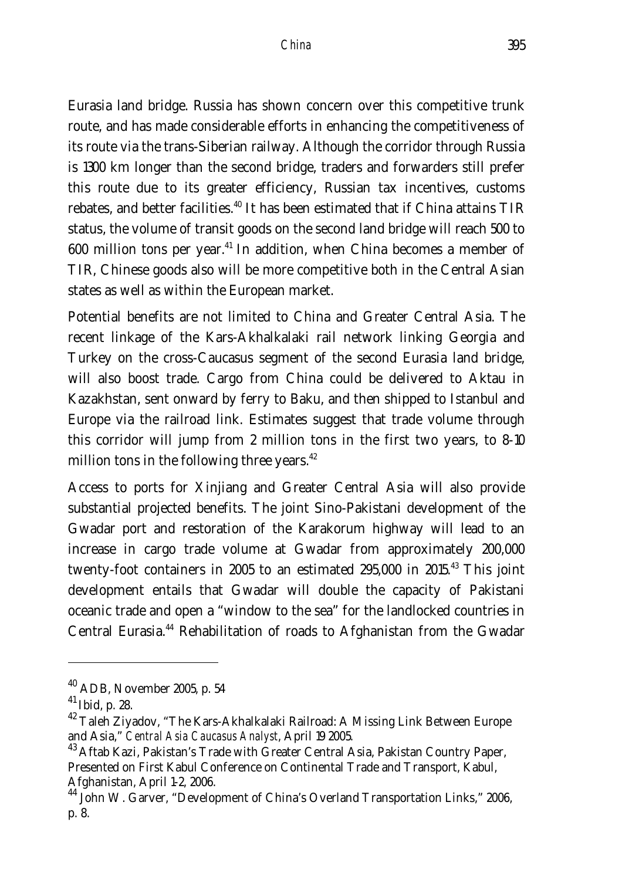Eurasia land bridge. Russia has shown concern over this competitive trunk route, and has made considerable efforts in enhancing the competitiveness of its route via the trans-Siberian railway. Although the corridor through Russia is 1300 km longer than the second bridge, traders and forwarders still prefer this route due to its greater efficiency, Russian tax incentives, customs rebates, and better facilities.<sup>40</sup> It has been estimated that if China attains TIR status, the volume of transit goods on the second land bridge will reach 500 to  $600$  million tons per year.<sup>41</sup> In addition, when China becomes a member of TIR, Chinese goods also will be more competitive both in the Central Asian states as well as within the European market.

Potential benefits are not limited to China and Greater Central Asia. The recent linkage of the Kars-Akhalkalaki rail network linking Georgia and Turkey on the cross-Caucasus segment of the second Eurasia land bridge, will also boost trade. Cargo from China could be delivered to Aktau in Kazakhstan, sent onward by ferry to Baku, and then shipped to Istanbul and Europe via the railroad link. Estimates suggest that trade volume through this corridor will jump from 2 million tons in the first two years, to 8-10 million tons in the following three years.<sup>42</sup>

Access to ports for Xinjiang and Greater Central Asia will also provide substantial projected benefits. The joint Sino-Pakistani development of the Gwadar port and restoration of the Karakorum highway will lead to an increase in cargo trade volume at Gwadar from approximately 200,000 twenty-foot containers in 2005 to an estimated 295,000 in 2015.<sup>43</sup> This joint development entails that Gwadar will double the capacity of Pakistani oceanic trade and open a "window to the sea" for the landlocked countries in Central Eurasia.<sup>44</sup> Rehabilitation of roads to Afghanistan from the Gwadar

<sup>40</sup> ADB, November 2005, p. 54

<sup>41</sup> Ibid, p. 28.

<sup>42</sup> Taleh Ziyadov, "The Kars-Akhalkalaki Railroad: A Missing Link Between Europe and Asia," *Central Asia Caucasus Analyst*, April 19 2005.

<sup>43</sup> Aftab Kazi, Pakistan's Trade with Greater Central Asia, Pakistan Country Paper, Presented on First Kabul Conference on Continental Trade and Transport, Kabul, Afghanistan, April 1-2, 2006.

<sup>&</sup>lt;sup>44</sup> John W. Garver, "Development of China's Overland Transportation Links," 2006, p. 8.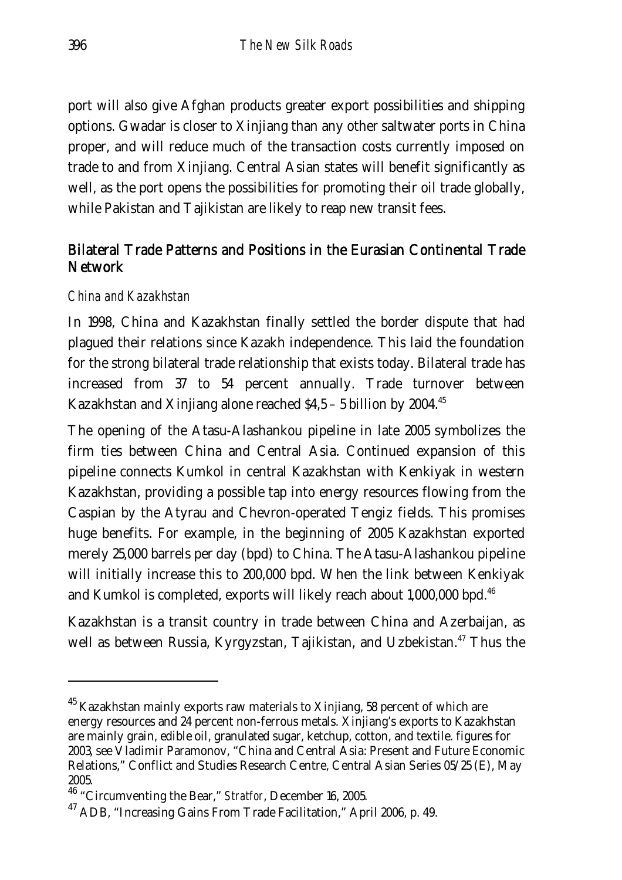port will also give Afghan products greater export possibilities and shipping options. Gwadar is closer to Xinjiang than any other saltwater ports in China proper, and will reduce much of the transaction costs currently imposed on trade to and from Xinjiang. Central Asian states will benefit significantly as well, as the port opens the possibilities for promoting their oil trade globally, while Pakistan and Tajikistan are likely to reap new transit fees.

## Bilateral Trade Patterns and Positions in the Eurasian Continental Trade Network

#### *China and Kazakhstan*

In 1998, China and Kazakhstan finally settled the border dispute that had plagued their relations since Kazakh independence. This laid the foundation for the strong bilateral trade relationship that exists today. Bilateral trade has increased from 37 to 54 percent annually. Trade turnover between Kazakhstan and Xinjiang alone reached \$4,5 - 5 billion by 2004.<sup>45</sup>

The opening of the Atasu-Alashankou pipeline in late 2005 symbolizes the firm ties between China and Central Asia. Continued expansion of this pipeline connects Kumkol in central Kazakhstan with Kenkiyak in western Kazakhstan, providing a possible tap into energy resources flowing from the Caspian by the Atyrau and Chevron-operated Tengiz fields. This promises huge benefits. For example, in the beginning of 2005 Kazakhstan exported merely 25,000 barrels per day (bpd) to China. The Atasu-Alashankou pipeline will initially increase this to 200,000 bpd. When the link between Kenkiyak and Kumkol is completed, exports will likely reach about 1,000,000 bpd.<sup>46</sup>

Kazakhstan is a transit country in trade between China and Azerbaijan, as well as between Russia, Kyrgyzstan, Tajikistan, and Uzbekistan.<sup>47</sup> Thus the

<sup>&</sup>lt;sup>45</sup> Kazakhstan mainly exports raw materials to Xinjiang, 58 percent of which are energy resources and 24 percent non-ferrous metals. Xinjiang's exports to Kazakhstan are mainly grain, edible oil, granulated sugar, ketchup, cotton, and textile. figures for 2003, see Vladimir Paramonov, "China and Central Asia: Present and Future Economic Relations," Conflict and Studies Research Centre, Central Asian Series 05/25 (E), May 2005.

<sup>46 &</sup>quot;Circumventing the Bear," *Stratfor*, December 16, 2005.

<sup>47</sup> ADB, "Increasing Gains From Trade Facilitation," April 2006, p. 49.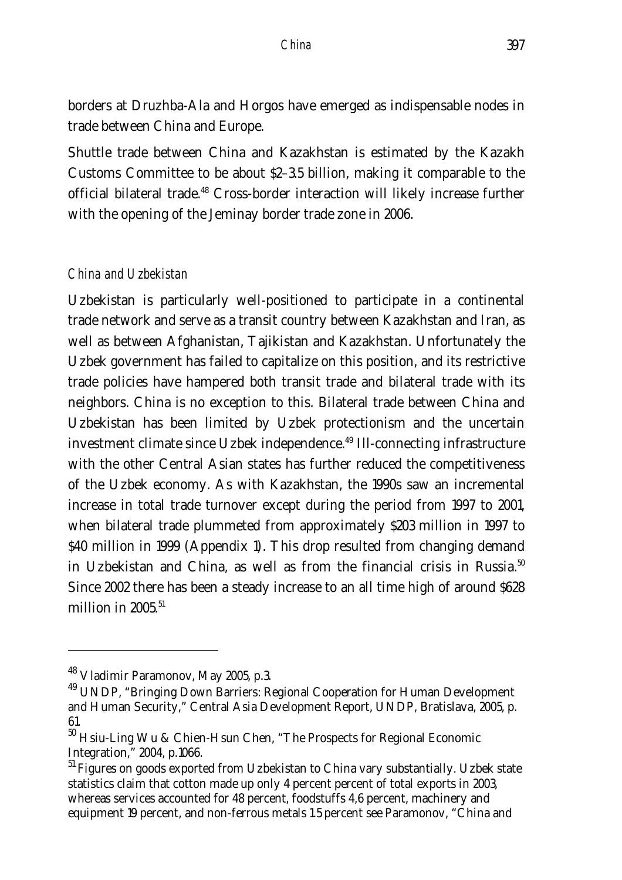borders at Druzhba-Ala and Horgos have emerged as indispensable nodes in trade between China and Europe.

Shuttle trade between China and Kazakhstan is estimated by the Kazakh Customs Committee to be about \$2–3.5 billion, making it comparable to the official bilateral trade.48 Cross-border interaction will likely increase further with the opening of the Jeminay border trade zone in 2006.

#### *China and Uzbekistan*

Uzbekistan is particularly well-positioned to participate in a continental trade network and serve as a transit country between Kazakhstan and Iran, as well as between Afghanistan, Tajikistan and Kazakhstan. Unfortunately the Uzbek government has failed to capitalize on this position, and its restrictive trade policies have hampered both transit trade and bilateral trade with its neighbors. China is no exception to this. Bilateral trade between China and Uzbekistan has been limited by Uzbek protectionism and the uncertain investment climate since Uzbek independence.<sup>49</sup> Ill-connecting infrastructure with the other Central Asian states has further reduced the competitiveness of the Uzbek economy. As with Kazakhstan, the 1990s saw an incremental increase in total trade turnover except during the period from 1997 to 2001, when bilateral trade plummeted from approximately \$203 million in 1997 to \$40 million in 1999 (Appendix 1). This drop resulted from changing demand in Uzbekistan and China, as well as from the financial crisis in Russia. $50$ Since 2002 there has been a steady increase to an all time high of around \$628 million in  $2005<sup>51</sup>$ 

<sup>48</sup> Vladimir Paramonov, May 2005, p.3.

<sup>&</sup>lt;sup>49</sup> UNDP, "Bringing Down Barriers: Regional Cooperation for Human Development and Human Security," Central Asia Development Report, UNDP, Bratislava, 2005, p. 61.

<sup>50</sup> Hsiu-Ling Wu & Chien-Hsun Chen, "The Prospects for Regional Economic Integration," 2004, p.1066.

<sup>&</sup>lt;sup>51</sup> Figures on goods exported from Uzbekistan to China vary substantially. Uzbek state statistics claim that cotton made up only 4 percent percent of total exports in 2003, whereas services accounted for 48 percent, foodstuffs 4,6 percent, machinery and equipment 19 percent, and non-ferrous metals 1.5 percent see Paramonov, "China and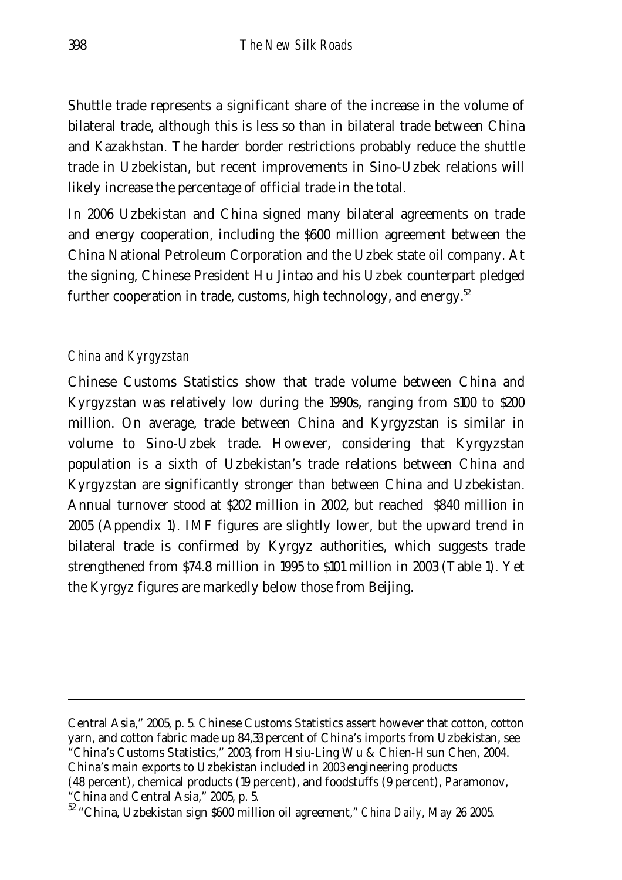Shuttle trade represents a significant share of the increase in the volume of bilateral trade, although this is less so than in bilateral trade between China and Kazakhstan. The harder border restrictions probably reduce the shuttle trade in Uzbekistan, but recent improvements in Sino-Uzbek relations will likely increase the percentage of official trade in the total.

In 2006 Uzbekistan and China signed many bilateral agreements on trade and energy cooperation, including the \$600 million agreement between the China National Petroleum Corporation and the Uzbek state oil company. At the signing, Chinese President Hu Jintao and his Uzbek counterpart pledged further cooperation in trade, customs, high technology, and energy. $52$ 

#### *China and Kyrgyzstan*

 $\overline{a}$ 

Chinese Customs Statistics show that trade volume between China and Kyrgyzstan was relatively low during the 1990s, ranging from \$100 to \$200 million. On average, trade between China and Kyrgyzstan is similar in volume to Sino-Uzbek trade. However, considering that Kyrgyzstan population is a sixth of Uzbekistan's trade relations between China and Kyrgyzstan are significantly stronger than between China and Uzbekistan. Annual turnover stood at \$202 million in 2002, but reached \$840 million in 2005 (Appendix 1). IMF figures are slightly lower, but the upward trend in bilateral trade is confirmed by Kyrgyz authorities, which suggests trade strengthened from \$74.8 million in 1995 to \$101 million in 2003 (Table 1). Yet the Kyrgyz figures are markedly below those from Beijing.

Central Asia," 2005, p. 5. Chinese Customs Statistics assert however that cotton, cotton yarn, and cotton fabric made up 84,33 percent of China's imports from Uzbekistan, see "China's Customs Statistics," 2003, from Hsiu-Ling Wu & Chien-Hsun Chen, 2004. China's main exports to Uzbekistan included in 2003 engineering products (48 percent), chemical products (19 percent), and foodstuffs (9 percent), Paramonov, "China and Central Asia," 2005, p. 5.

<sup>52 &</sup>quot;China, Uzbekistan sign \$600 million oil agreement," *China Daily*, May 26 2005.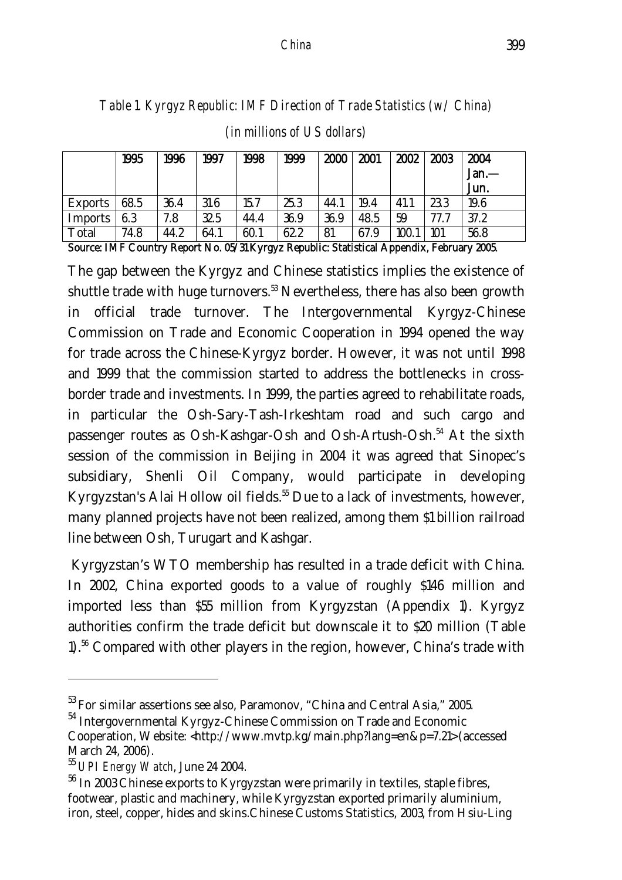*Table 1. Kyrgyz Republic: IMF Direction of Trade Statistics (w/ China)* 

|                | 1995 | 1996 | 1997 | 1998 | 1999 | 2000 | 2001 | 2002  | 2003 | 2004     |
|----------------|------|------|------|------|------|------|------|-------|------|----------|
|                |      |      |      |      |      |      |      |       |      | $Jan.$ — |
|                |      |      |      |      |      |      |      |       |      | Jun.     |
| <b>Exports</b> | 68.5 | 36.4 | 31.6 | 15.7 | 25.3 | 44.1 | 19.4 | 41.1  | 23.3 | 19.6     |
| <b>Imports</b> | 6.3  | 7.8  | 32.5 | 44.4 | 36.9 | 36.9 | 48.5 | 59    | 77.7 | 37.2     |
| Total          | 74.8 | 44.2 | 64.1 | 60.1 | 62.2 | 81   | 67.9 | 100.1 | 101  | 56.8     |

*(in millions of US dollars)*

Source: IMF Country Report No. 05/31 Kyrgyz Republic: Statistical Appendix, February 2005.

The gap between the Kyrgyz and Chinese statistics implies the existence of shuttle trade with huge turnovers.<sup>53</sup> Nevertheless, there has also been growth in official trade turnover. The Intergovernmental Kyrgyz-Chinese Commission on Trade and Economic Cooperation in 1994 opened the way for trade across the Chinese-Kyrgyz border. However, it was not until 1998 and 1999 that the commission started to address the bottlenecks in crossborder trade and investments. In 1999, the parties agreed to rehabilitate roads, in particular the Osh-Sary-Tash-Irkeshtam road and such cargo and passenger routes as Osh-Kashgar-Osh and Osh-Artush-Osh.<sup>54</sup> At the sixth session of the commission in Beijing in 2004 it was agreed that Sinopec's subsidiary, Shenli Oil Company, would participate in developing Kyrgyzstan's Alai Hollow oil fields.<sup>55</sup> Due to a lack of investments, however, many planned projects have not been realized, among them \$1 billion railroad line between Osh, Turugart and Kashgar.

 Kyrgyzstan's WTO membership has resulted in a trade deficit with China. In 2002, China exported goods to a value of roughly \$146 million and imported less than \$55 million from Kyrgyzstan (Appendix 1). Kyrgyz authorities confirm the trade deficit but downscale it to \$20 million (Table 1).56 Compared with other players in the region, however, China's trade with

 $^{53}$  For similar assertions see also, Paramonov, "China and Central Asia," 2005.

<sup>54</sup> Intergovernmental Kyrgyz-Chinese Commission on Trade and Economic

Cooperation, Website: <http://www.mvtp.kg/main.php?lang=en&p=7.21> (accessed March 24, 2006).

<sup>55</sup> *UPI Energy Watch*, June 24 2004.

<sup>56</sup> In 2003 Chinese exports to Kyrgyzstan were primarily in textiles, staple fibres, footwear, plastic and machinery, while Kyrgyzstan exported primarily aluminium, iron, steel, copper, hides and skins.Chinese Customs Statistics, 2003, from Hsiu-Ling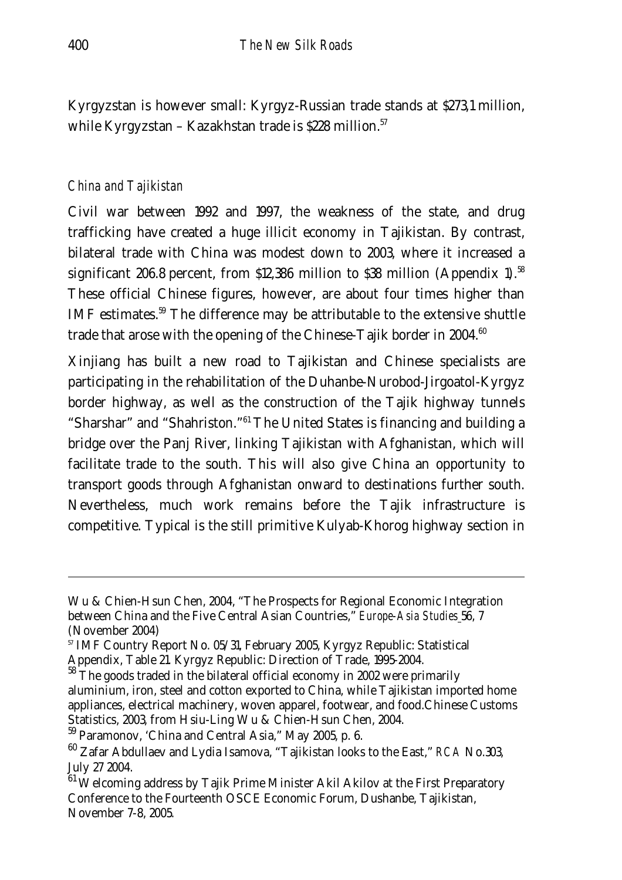Kyrgyzstan is however small: Kyrgyz-Russian trade stands at \$273,1 million, while Kyrgyzstan – Kazakhstan trade is \$228 million.<sup>57</sup>

#### *China and Tajikistan*

Civil war between 1992 and 1997, the weakness of the state, and drug trafficking have created a huge illicit economy in Tajikistan. By contrast, bilateral trade with China was modest down to 2003, where it increased a significant 206.8 percent, from \$12,386 million to \$38 million (Appendix 1).<sup>58</sup> These official Chinese figures, however, are about four times higher than IMF estimates.59 The difference may be attributable to the extensive shuttle trade that arose with the opening of the Chinese-Tajik border in 2004.<sup>60</sup>

Xinjiang has built a new road to Tajikistan and Chinese specialists are participating in the rehabilitation of the Duhanbe-Nurobod-Jirgoatol-Kyrgyz border highway, as well as the construction of the Tajik highway tunnels "Sharshar" and "Shahriston."61 The United States is financing and building a bridge over the Panj River, linking Tajikistan with Afghanistan, which will facilitate trade to the south. This will also give China an opportunity to transport goods through Afghanistan onward to destinations further south. Nevertheless, much work remains before the Tajik infrastructure is competitive. Typical is the still primitive Kulyab-Khorog highway section in

Wu & Chien-Hsun Chen, 2004, "The Prospects for Regional Economic Integration between China and the Five Central Asian Countries," *Europe-Asia Studies* 56, 7 (November 2004)

<sup>57</sup> IMF Country Report No. 05/31, February 2005, Kyrgyz Republic: Statistical Appendix, Table 21. Kyrgyz Republic: Direction of Trade, 1995-2004.

 $^{58}$  The goods traded in the bilateral official economy in 2002 were primarily aluminium, iron, steel and cotton exported to China, while Tajikistan imported home appliances, electrical machinery, woven apparel, footwear, and food.Chinese Customs Statistics, 2003, from Hsiu-Ling Wu & Chien-Hsun Chen, 2004.

<sup>59</sup> Paramonov, 'China and Central Asia," May 2005, p. 6.

<sup>60</sup> Zafar Abdullaev and Lydia Isamova, "Tajikistan looks to the East," *RCA* No.303, July 27 2004.

 $61$  Welcoming address by Tajik Prime Minister Akil Akilov at the First Preparatory Conference to the Fourteenth OSCE Economic Forum, Dushanbe, Tajikistan, November 7-8, 2005.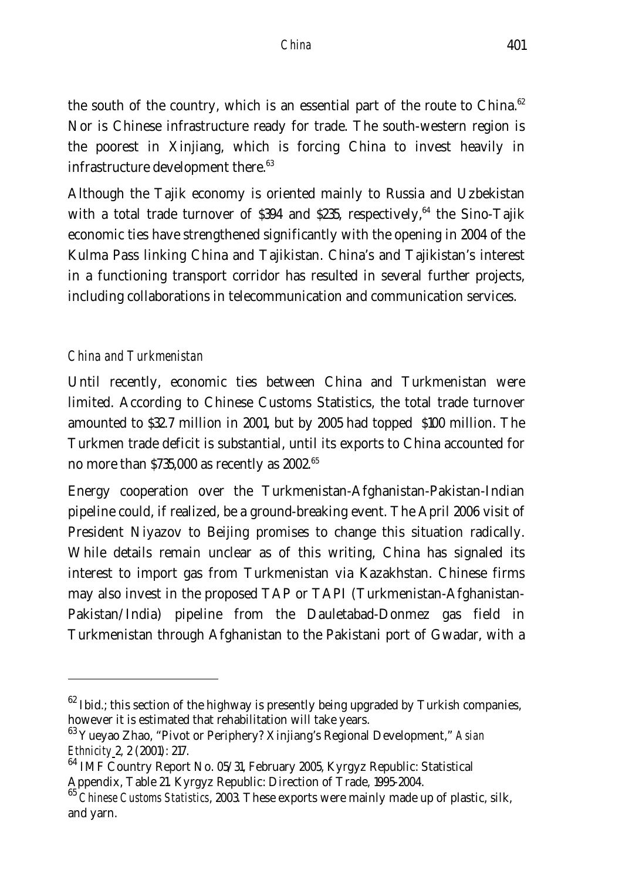the south of the country, which is an essential part of the route to China.<sup>62</sup> Nor is Chinese infrastructure ready for trade. The south-western region is the poorest in Xinjiang, which is forcing China to invest heavily in infrastructure development there.<sup>63</sup>

Although the Tajik economy is oriented mainly to Russia and Uzbekistan with a total trade turnover of  $$394$  and  $$235$ , respectively, <sup>64</sup> the Sino-Tajik economic ties have strengthened significantly with the opening in 2004 of the Kulma Pass linking China and Tajikistan. China's and Tajikistan's interest in a functioning transport corridor has resulted in several further projects, including collaborations in telecommunication and communication services.

#### *China and Turkmenistan*

 $\overline{a}$ 

Until recently, economic ties between China and Turkmenistan were limited. According to Chinese Customs Statistics, the total trade turnover amounted to \$32.7 million in 2001, but by 2005 had topped \$100 million. The Turkmen trade deficit is substantial, until its exports to China accounted for no more than \$735,000 as recently as 2002.<sup>65</sup>

Energy cooperation over the Turkmenistan-Afghanistan-Pakistan-Indian pipeline could, if realized, be a ground-breaking event. The April 2006 visit of President Niyazov to Beijing promises to change this situation radically. While details remain unclear as of this writing, China has signaled its interest to import gas from Turkmenistan via Kazakhstan. Chinese firms may also invest in the proposed TAP or TAPI (Turkmenistan-Afghanistan-Pakistan/India) pipeline from the Dauletabad-Donmez gas field in Turkmenistan through Afghanistan to the Pakistani port of Gwadar, with a

 $62$  Ibid.; this section of the highway is presently being upgraded by Turkish companies, however it is estimated that rehabilitation will take years.

<sup>63</sup> Yueyao Zhao, "Pivot or Periphery? Xinjiang's Regional Development," *Asian Ethnicity* 2, 2 (2001): 217.

 $^{64}$  IMF Country Report No. 05/31, February 2005, Kyrgyz Republic: Statistical Appendix, Table 21. Kyrgyz Republic: Direction of Trade, 1995-2004.

<sup>65</sup> *Chinese Customs Statistics*, 2003. These exports were mainly made up of plastic, silk, and yarn.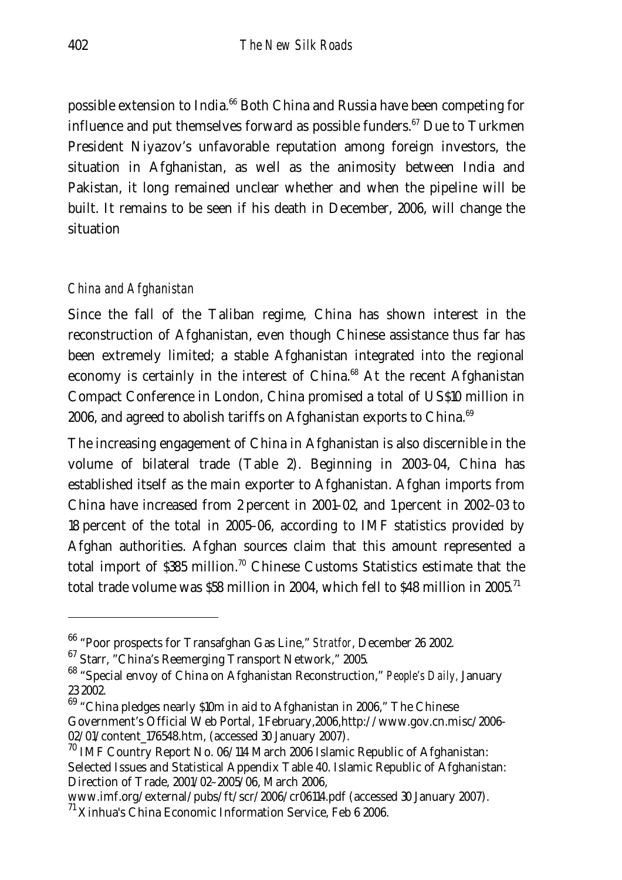possible extension to India.66 Both China and Russia have been competing for influence and put themselves forward as possible funders.<sup>67</sup> Due to Turkmen President Niyazov's unfavorable reputation among foreign investors, the situation in Afghanistan, as well as the animosity between India and Pakistan, it long remained unclear whether and when the pipeline will be built. It remains to be seen if his death in December, 2006, will change the situation

#### *China and Afghanistan*

Since the fall of the Taliban regime, China has shown interest in the reconstruction of Afghanistan, even though Chinese assistance thus far has been extremely limited; a stable Afghanistan integrated into the regional economy is certainly in the interest of China.<sup>68</sup> At the recent Afghanistan Compact Conference in London, China promised a total of US\$10 million in 2006, and agreed to abolish tariffs on Afghanistan exports to China.<sup>69</sup>

The increasing engagement of China in Afghanistan is also discernible in the volume of bilateral trade (Table 2). Beginning in 2003–04, China has established itself as the main exporter to Afghanistan. Afghan imports from China have increased from 2 percent in 2001–02, and 1 percent in 2002–03 to 18 percent of the total in 2005–06, according to IMF statistics provided by Afghan authorities. Afghan sources claim that this amount represented a total import of \$385 million.<sup>70</sup> Chinese Customs Statistics estimate that the total trade volume was \$58 million in 2004, which fell to \$48 million in 2005.<sup>71</sup>

<sup>66 &</sup>quot;Poor prospects for Transafghan Gas Line," *Stratfor*, December 26 2002.

<sup>67</sup> Starr, "China's Reemerging Transport Network," 2005.

<sup>68 &</sup>quot;Special envoy of China on Afghanistan Reconstruction," *People's Daily,* January 23 2002.

<sup>69 &</sup>quot;China pledges nearly \$10m in aid to Afghanistan in 2006," The Chinese Government's Official Web Portal, 1 February,2006,http://www.gov.cn.misc/2006- 02/01/content\_176548.htm, (accessed 30 January 2007).

<sup>70</sup> IMF Country Report No. 06/114 March 2006 Islamic Republic of Afghanistan: Selected Issues and Statistical Appendix Table 40. Islamic Republic of Afghanistan: Direction of Trade, 2001/02–2005/06, March 2006,

www.imf.org/external/pubs/ft/scr/2006/cr06114.pdf (accessed 30 January 2007). 71 Xinhua's China Economic Information Service, Feb 6 2006.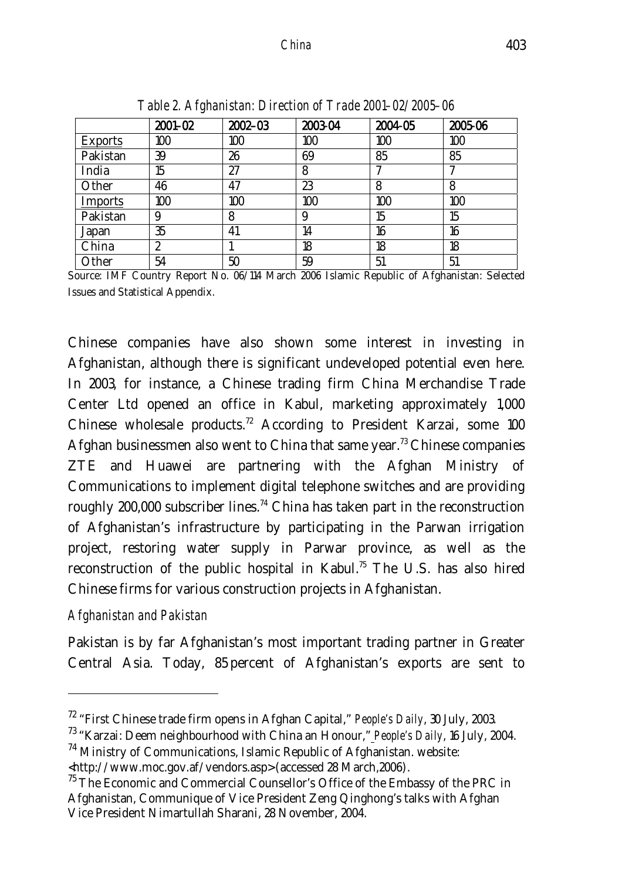|                | $2001 - 02$    | $2002 - 03$ | 2003-04 | 2004-05 | 2005-06 |
|----------------|----------------|-------------|---------|---------|---------|
| <b>Exports</b> | 100            | 100         | 100     | 100     | 100     |
| Pakistan       | 39             | 26          | 69      | 85      | 85      |
| India          | 15             | 27          | 8       |         |         |
| Other          | 46             | 47          | 23      | 8       | 8       |
| <b>Imports</b> | 100            | 100         | 100     | 100     | 100     |
| Pakistan       | 9              | 8           | 9       | 15      | 15      |
| Japan          | 35             | 41          | 14      | 16      | 16      |
| China          | $\overline{c}$ |             | 18      | 18      | 18      |
| Other          | 54             | 50          | 59      | 51      | 51      |

*Table 2. Afghanistan: Direction of Trade 2001–02/2005–06* 

Source: IMF Country Report No. 06/114 March 2006 Islamic Republic of Afghanistan: Selected Issues and Statistical Appendix.

Chinese companies have also shown some interest in investing in Afghanistan, although there is significant undeveloped potential even here. In 2003, for instance, a Chinese trading firm China Merchandise Trade Center Ltd opened an office in Kabul, marketing approximately 1,000 Chinese wholesale products.72 According to President Karzai, some 100 Afghan businessmen also went to China that same year.73 Chinese companies ZTE and Huawei are partnering with the Afghan Ministry of Communications to implement digital telephone switches and are providing roughly 200,000 subscriber lines.<sup>74</sup> China has taken part in the reconstruction of Afghanistan's infrastructure by participating in the Parwan irrigation project, restoring water supply in Parwar province, as well as the reconstruction of the public hospital in Kabul.<sup>75</sup> The U.S. has also hired Chinese firms for various construction projects in Afghanistan.

#### *Afghanistan and Pakistan*

 $\overline{a}$ 

Pakistan is by far Afghanistan's most important trading partner in Greater Central Asia. Today, 85 percent of Afghanistan's exports are sent to

<sup>72 &</sup>quot;First Chinese trade firm opens in Afghan Capital," *People's Daily*, 30 July, 2003.

<sup>73 &</sup>quot;Karzai: Deem neighbourhood with China an Honour," *People's Daily*, 16 July, 2004.

<sup>74</sup> Ministry of Communications, Islamic Republic of Afghanistan. website: <http://www.moc.gov.af/vendors.asp> (accessed 28 March,2006).

 $75$  The Economic and Commercial Counsellor's Office of the Embassy of the PRC in Afghanistan, Communique of Vice President Zeng Qinghong's talks with Afghan Vice President Nimartullah Sharani, 28 November, 2004.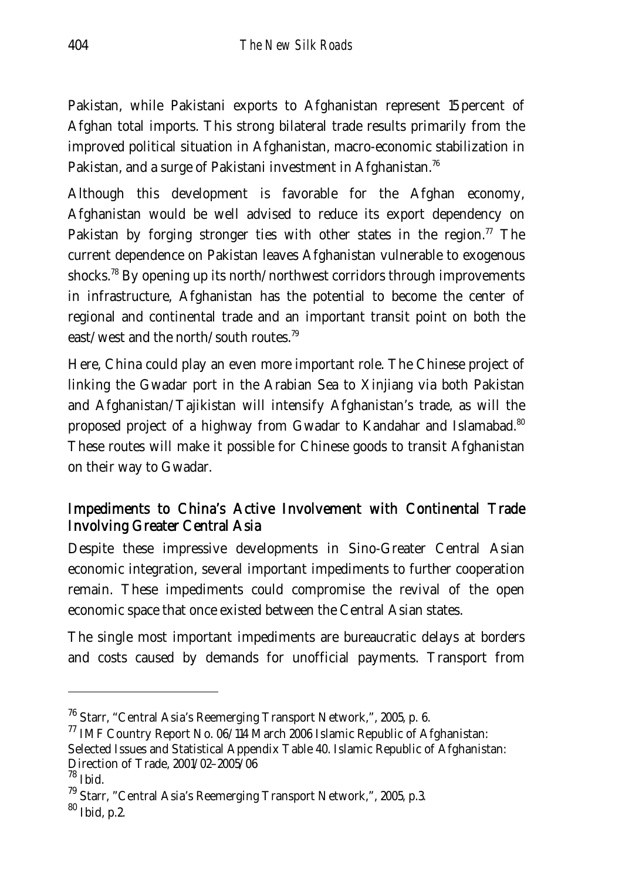Pakistan, while Pakistani exports to Afghanistan represent 15 percent of Afghan total imports. This strong bilateral trade results primarily from the improved political situation in Afghanistan, macro-economic stabilization in Pakistan, and a surge of Pakistani investment in Afghanistan.<sup>76</sup>

Although this development is favorable for the Afghan economy, Afghanistan would be well advised to reduce its export dependency on Pakistan by forging stronger ties with other states in the region.<sup>77</sup> The current dependence on Pakistan leaves Afghanistan vulnerable to exogenous shocks.<sup>78</sup> By opening up its north/northwest corridors through improvements in infrastructure, Afghanistan has the potential to become the center of regional and continental trade and an important transit point on both the east/west and the north/south routes.<sup>79</sup>

Here, China could play an even more important role. The Chinese project of linking the Gwadar port in the Arabian Sea to Xinjiang via both Pakistan and Afghanistan/Tajikistan will intensify Afghanistan's trade, as will the proposed project of a highway from Gwadar to Kandahar and Islamabad.<sup>80</sup> These routes will make it possible for Chinese goods to transit Afghanistan on their way to Gwadar.

## Impediments to China's Active Involvement with Continental Trade Involving Greater Central Asia

Despite these impressive developments in Sino-Greater Central Asian economic integration, several important impediments to further cooperation remain. These impediments could compromise the revival of the open economic space that once existed between the Central Asian states.

The single most important impediments are bureaucratic delays at borders and costs caused by demands for unofficial payments. Transport from

<sup>76</sup> Starr, "Central Asia's Reemerging Transport Network,", 2005, p. 6.

<sup>77</sup> IMF Country Report No. 06/114 March 2006 Islamic Republic of Afghanistan:

Selected Issues and Statistical Appendix Table 40. Islamic Republic of Afghanistan: Direction of Trade, 2001/02–2005/06

<sup>78</sup> Ibid.

<sup>79</sup> Starr, "Central Asia's Reemerging Transport Network,", 2005, p.3.

<sup>80</sup> Ibid, p.2.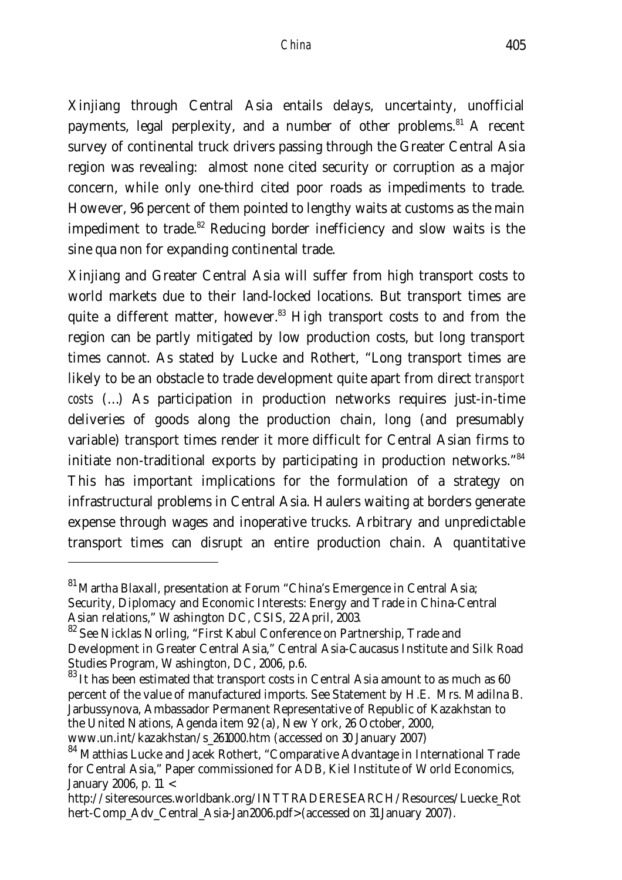Xinjiang through Central Asia entails delays, uncertainty, unofficial payments, legal perplexity, and a number of other problems. $81$  A recent survey of continental truck drivers passing through the Greater Central Asia region was revealing: almost none cited security or corruption as a major concern, while only one-third cited poor roads as impediments to trade. However, 96 percent of them pointed to lengthy waits at customs as the main impediment to trade.<sup>82</sup> Reducing border inefficiency and slow waits is the sine qua non for expanding continental trade.

Xinjiang and Greater Central Asia will suffer from high transport costs to world markets due to their land-locked locations. But transport times are quite a different matter, however.<sup>83</sup> High transport costs to and from the region can be partly mitigated by low production costs, but long transport times cannot. As stated by Lucke and Rothert, "Long transport times are likely to be an obstacle to trade development quite apart from direct *transport costs* (…) As participation in production networks requires just-in-time deliveries of goods along the production chain, long (and presumably variable) transport times render it more difficult for Central Asian firms to initiate non-traditional exports by participating in production networks."<sup>84</sup> This has important implications for the formulation of a strategy on infrastructural problems in Central Asia. Haulers waiting at borders generate expense through wages and inoperative trucks. Arbitrary and unpredictable transport times can disrupt an entire production chain. A quantitative

www.un.int/kazakhstan/s\_261000.htm (accessed on 30 January 2007)

<sup>&</sup>lt;sup>81</sup> Martha Blaxall, presentation at Forum "China's Emergence in Central Asia; Security, Diplomacy and Economic Interests: Energy and Trade in China-Central Asian relations," Washington DC, CSIS, 22 April, 2003.

<sup>&</sup>lt;sup>82</sup> See Nicklas Norling, "First Kabul Conference on Partnership, Trade and Development in Greater Central Asia," Central Asia-Caucasus Institute and Silk Road Studies Program, Washington, DC, 2006, p.6.

<sup>&</sup>lt;sup>83</sup> It has been estimated that transport costs in Central Asia amount to as much as 60 percent of the value of manufactured imports. See Statement by H.E. Mrs. Madilna B. Jarbussynova, Ambassador Permanent Representative of Republic of Kazakhstan to the United Nations, Agenda item 92 (a), New York, 26 October, 2000,

<sup>&</sup>lt;sup>84</sup> Matthias Lucke and Jacek Rothert, "Comparative Advantage in International Trade for Central Asia," Paper commissioned for ADB, Kiel Institute of World Economics, January 2006, p. 11 <

http://siteresources.worldbank.org/INTTRADERESEARCH/Resources/Luecke\_Rot hert-Comp\_Adv\_Central\_Asia-Jan2006.pdf> (accessed on 31 January 2007).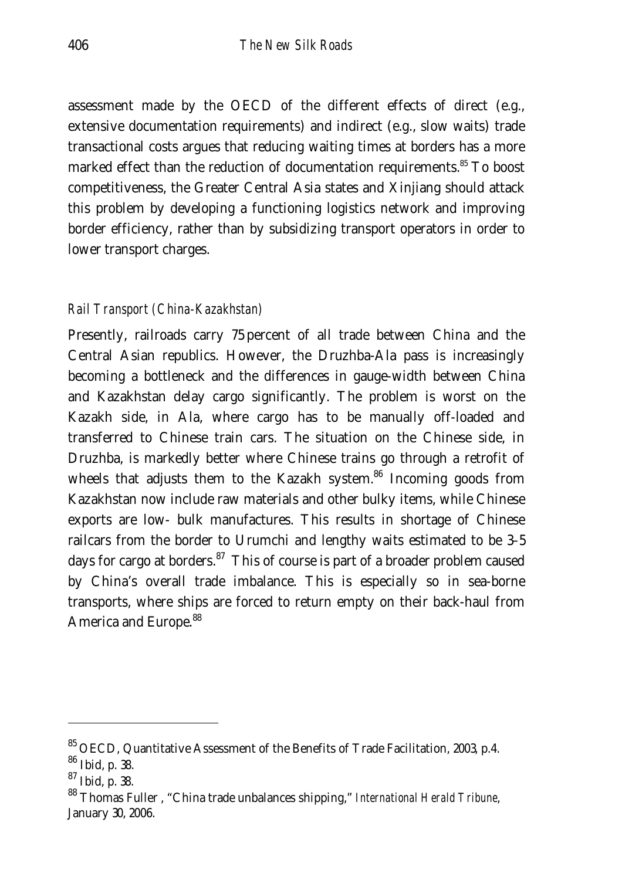assessment made by the OECD of the different effects of direct (e.g., extensive documentation requirements) and indirect (e.g., slow waits) trade transactional costs argues that reducing waiting times at borders has a more marked effect than the reduction of documentation requirements.<sup>85</sup> To boost competitiveness, the Greater Central Asia states and Xinjiang should attack this problem by developing a functioning logistics network and improving border efficiency, rather than by subsidizing transport operators in order to lower transport charges.

#### *Rail Transport (China-Kazakhstan)*

Presently, railroads carry 75 percent of all trade between China and the Central Asian republics. However, the Druzhba-Ala pass is increasingly becoming a bottleneck and the differences in gauge-width between China and Kazakhstan delay cargo significantly. The problem is worst on the Kazakh side, in Ala, where cargo has to be manually off-loaded and transferred to Chinese train cars. The situation on the Chinese side, in Druzhba, is markedly better where Chinese trains go through a retrofit of wheels that adjusts them to the Kazakh system.<sup>86</sup> Incoming goods from Kazakhstan now include raw materials and other bulky items, while Chinese exports are low- bulk manufactures. This results in shortage of Chinese railcars from the border to Urumchi and lengthy waits estimated to be 3–5 days for cargo at borders. $87$  This of course is part of a broader problem caused by China's overall trade imbalance. This is especially so in sea-borne transports, where ships are forced to return empty on their back-haul from America and Europe.<sup>88</sup>

 $85$  OECD, Quantitative Assessment of the Benefits of Trade Facilitation, 2003, p.4. 86 Ibid, p. 38.

<sup>87</sup> Ibid, p. 38.

<sup>88</sup> Thomas Fuller , "China trade unbalances shipping," *International Herald Tribune*, January 30, 2006.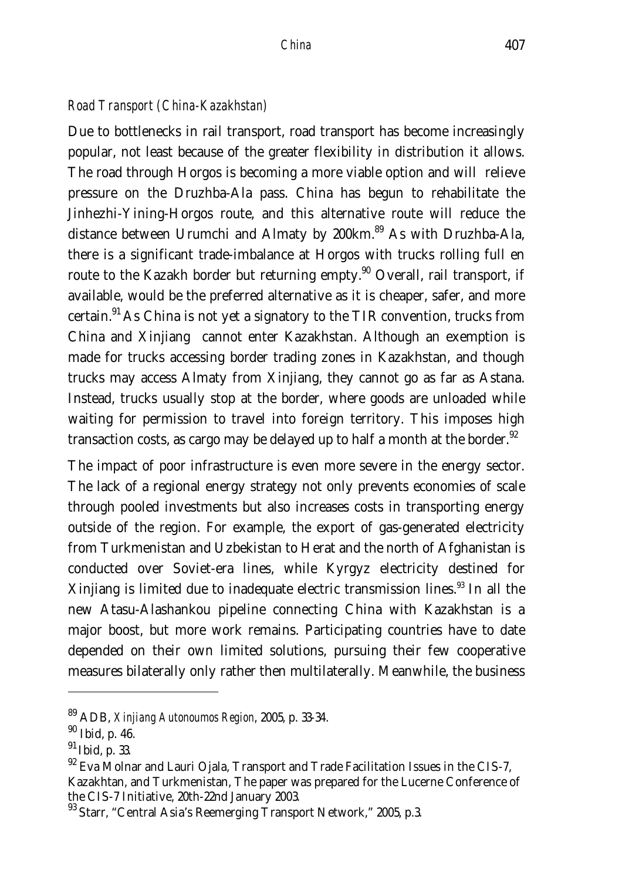#### *Road Transport (China-Kazakhstan)*

Due to bottlenecks in rail transport, road transport has become increasingly popular, not least because of the greater flexibility in distribution it allows. The road through Horgos is becoming a more viable option and will relieve pressure on the Druzhba-Ala pass. China has begun to rehabilitate the Jinhezhi-Yining-Horgos route, and this alternative route will reduce the distance between Urumchi and Almaty by 200km.<sup>89</sup> As with Druzhba-Ala, there is a significant trade-imbalance at Horgos with trucks rolling full en route to the Kazakh border but returning empty.<sup>90</sup> Overall, rail transport, if available, would be the preferred alternative as it is cheaper, safer, and more certain.91 As China is not yet a signatory to the TIR convention, trucks from China and Xinjiang cannot enter Kazakhstan. Although an exemption is made for trucks accessing border trading zones in Kazakhstan, and though trucks may access Almaty from Xinjiang, they cannot go as far as Astana. Instead, trucks usually stop at the border, where goods are unloaded while waiting for permission to travel into foreign territory. This imposes high transaction costs, as cargo may be delayed up to half a month at the border.<sup>92</sup>

The impact of poor infrastructure is even more severe in the energy sector. The lack of a regional energy strategy not only prevents economies of scale through pooled investments but also increases costs in transporting energy outside of the region. For example, the export of gas-generated electricity from Turkmenistan and Uzbekistan to Herat and the north of Afghanistan is conducted over Soviet-era lines, while Kyrgyz electricity destined for Xinjiang is limited due to inadequate electric transmission lines.<sup>93</sup> In all the new Atasu-Alashankou pipeline connecting China with Kazakhstan is a major boost, but more work remains. Participating countries have to date depended on their own limited solutions, pursuing their few cooperative measures bilaterally only rather then multilaterally. Meanwhile, the business

<sup>89</sup> ADB, *Xinjiang Autonoumos Region*, 2005, p. 33-34.

<sup>90</sup> Ibid, p. 46.

 $91$  Ibid, p. 33.

<sup>92</sup> Eva Molnar and Lauri Ojala, Transport and Trade Facilitation Issues in the CIS-7, Kazakhtan, and Turkmenistan, The paper was prepared for the Lucerne Conference of the CIS-7 Initiative, 20th-22nd January 2003.

<sup>93</sup> Starr, "Central Asia's Reemerging Transport Network," 2005, p.3.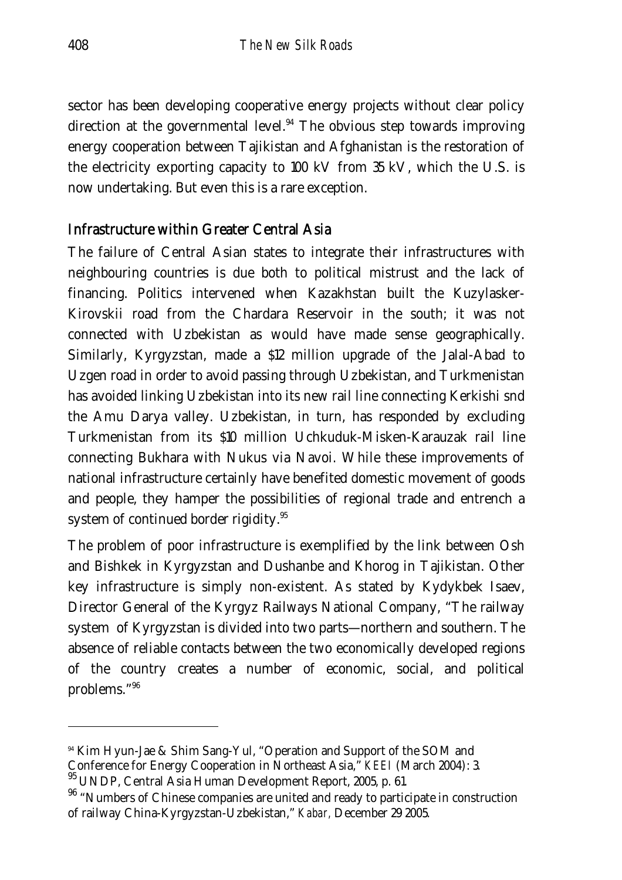sector has been developing cooperative energy projects without clear policy direction at the governmental level. $94$  The obvious step towards improving energy cooperation between Tajikistan and Afghanistan is the restoration of the electricity exporting capacity to 100 kV from 35 kV, which the U.S. is now undertaking. But even this is a rare exception.

## Infrastructure within Greater Central Asia

The failure of Central Asian states to integrate their infrastructures with neighbouring countries is due both to political mistrust and the lack of financing. Politics intervened when Kazakhstan built the Kuzylasker-Kirovskii road from the Chardara Reservoir in the south; it was not connected with Uzbekistan as would have made sense geographically. Similarly, Kyrgyzstan, made a \$12 million upgrade of the Jalal-Abad to Uzgen road in order to avoid passing through Uzbekistan, and Turkmenistan has avoided linking Uzbekistan into its new rail line connecting Kerkishi snd the Amu Darya valley. Uzbekistan, in turn, has responded by excluding Turkmenistan from its \$10 million Uchkuduk-Misken-Karauzak rail line connecting Bukhara with Nukus via Navoi. While these improvements of national infrastructure certainly have benefited domestic movement of goods and people, they hamper the possibilities of regional trade and entrench a system of continued border rigidity.<sup>95</sup>

The problem of poor infrastructure is exemplified by the link between Osh and Bishkek in Kyrgyzstan and Dushanbe and Khorog in Tajikistan. Other key infrastructure is simply non-existent. As stated by Kydykbek Isaev, Director General of the Kyrgyz Railways National Company, "The railway system of Kyrgyzstan is divided into two parts—northern and southern. The absence of reliable contacts between the two economically developed regions of the country creates a number of economic, social, and political problems."96

<sup>&</sup>lt;sup>94</sup> Kim Hyun-Jae & Shim Sang-Yul, "Operation and Support of the SOM and Conference for Energy Cooperation in Northeast Asia," *KEEI* (March 2004): 3.

<sup>95</sup> UNDP, Central Asia Human Development Report, 2005, p. 61.

<sup>&</sup>lt;sup>96</sup> "Numbers of Chinese companies are united and ready to participate in construction of railway China-Kyrgyzstan-Uzbekistan," *Kabar,* December 29 2005.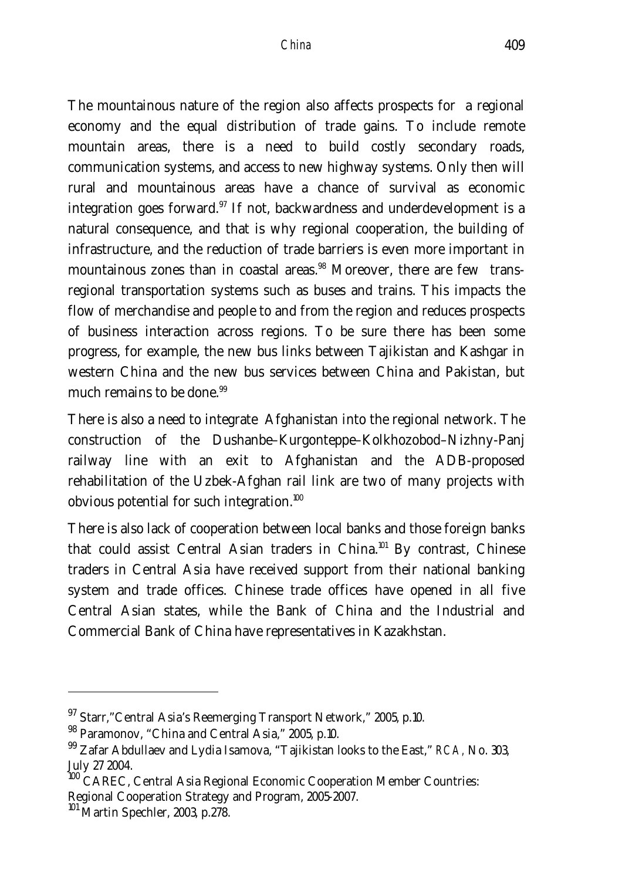The mountainous nature of the region also affects prospects for a regional economy and the equal distribution of trade gains. To include remote mountain areas, there is a need to build costly secondary roads, communication systems, and access to new highway systems. Only then will rural and mountainous areas have a chance of survival as economic integration goes forward.<sup>97</sup> If not, backwardness and underdevelopment is a natural consequence, and that is why regional cooperation, the building of infrastructure, and the reduction of trade barriers is even more important in mountainous zones than in coastal areas.<sup>98</sup> Moreover, there are few transregional transportation systems such as buses and trains. This impacts the flow of merchandise and people to and from the region and reduces prospects of business interaction across regions. To be sure there has been some progress, for example, the new bus links between Tajikistan and Kashgar in western China and the new bus services between China and Pakistan, but much remains to be done.<sup>99</sup>

There is also a need to integrate Afghanistan into the regional network. The construction of the Dushanbe–Kurgonteppe–Kolkhozobod–Nizhny-Panj railway line with an exit to Afghanistan and the ADB-proposed rehabilitation of the Uzbek-Afghan rail link are two of many projects with obvious potential for such integration.<sup>100</sup>

There is also lack of cooperation between local banks and those foreign banks that could assist Central Asian traders in China.101 By contrast, Chinese traders in Central Asia have received support from their national banking system and trade offices. Chinese trade offices have opened in all five Central Asian states, while the Bank of China and the Industrial and Commercial Bank of China have representatives in Kazakhstan.

<sup>97</sup> Starr,"Central Asia's Reemerging Transport Network," 2005, p.10.

<sup>98</sup> Paramonov, "China and Central Asia," 2005, p.10.

<sup>99</sup> Zafar Abdullaev and Lydia Isamova, "Tajikistan looks to the East," *RCA,* No. 303, July 27 2004.

<sup>&</sup>lt;sup>100</sup> CAREC, Central Asia Regional Economic Cooperation Member Countries: Regional Cooperation Strategy and Program, 2005-2007. 101 Martin Spechler, 2003, p.278.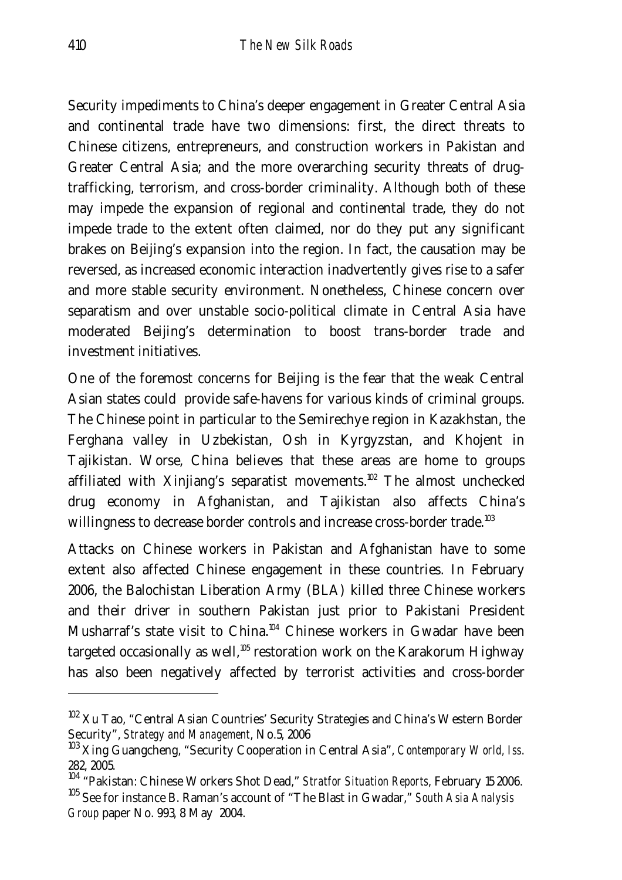Security impediments to China's deeper engagement in Greater Central Asia and continental trade have two dimensions: first, the direct threats to Chinese citizens, entrepreneurs, and construction workers in Pakistan and Greater Central Asia; and the more overarching security threats of drugtrafficking, terrorism, and cross-border criminality. Although both of these may impede the expansion of regional and continental trade, they do not impede trade to the extent often claimed, nor do they put any significant brakes on Beijing's expansion into the region. In fact, the causation may be reversed, as increased economic interaction inadvertently gives rise to a safer and more stable security environment. Nonetheless, Chinese concern over separatism and over unstable socio-political climate in Central Asia have moderated Beijing's determination to boost trans-border trade and investment initiatives.

One of the foremost concerns for Beijing is the fear that the weak Central Asian states could provide safe-havens for various kinds of criminal groups. The Chinese point in particular to the Semirechye region in Kazakhstan, the Ferghana valley in Uzbekistan, Osh in Kyrgyzstan, and Khojent in Tajikistan. Worse, China believes that these areas are home to groups affiliated with Xinjiang's separatist movements.102 The almost unchecked drug economy in Afghanistan, and Tajikistan also affects China's willingness to decrease border controls and increase cross-border trade.<sup>103</sup>

Attacks on Chinese workers in Pakistan and Afghanistan have to some extent also affected Chinese engagement in these countries. In February 2006, the Balochistan Liberation Army (BLA) killed three Chinese workers and their driver in southern Pakistan just prior to Pakistani President Musharraf's state visit to China.104 Chinese workers in Gwadar have been targeted occasionally as well, $105$  restoration work on the Karakorum Highway has also been negatively affected by terrorist activities and cross-border

<sup>102</sup> Xu Tao, "Central Asian Countries' Security Strategies and China's Western Border Security", *Strategy and Management*, No.5, 2006

<sup>103</sup> Xing Guangcheng, "Security Cooperation in Central Asia", *Contemporary World, Iss*. 282, 2005.

<sup>104 &</sup>quot;Pakistan: Chinese Workers Shot Dead," *Stratfor Situation Reports*, February 15 2006. 105 See for instance B. Raman's account of "The Blast in Gwadar," *South Asia Analysis Group* paper No. 993, 8 May 2004.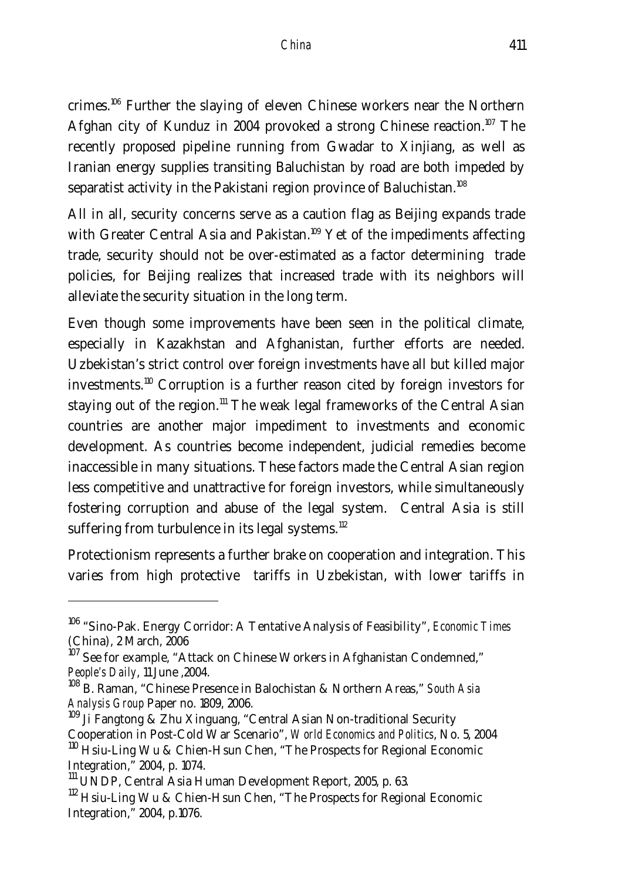crimes.106 Further the slaying of eleven Chinese workers near the Northern Afghan city of Kunduz in 2004 provoked a strong Chinese reaction.<sup>107</sup> The recently proposed pipeline running from Gwadar to Xinjiang, as well as Iranian energy supplies transiting Baluchistan by road are both impeded by separatist activity in the Pakistani region province of Baluchistan.<sup>108</sup>

All in all, security concerns serve as a caution flag as Beijing expands trade with Greater Central Asia and Pakistan.<sup>109</sup> Yet of the impediments affecting trade, security should not be over-estimated as a factor determining trade policies, for Beijing realizes that increased trade with its neighbors will alleviate the security situation in the long term.

Even though some improvements have been seen in the political climate, especially in Kazakhstan and Afghanistan, further efforts are needed. Uzbekistan's strict control over foreign investments have all but killed major investments.110 Corruption is a further reason cited by foreign investors for staying out of the region.<sup>111</sup> The weak legal frameworks of the Central Asian countries are another major impediment to investments and economic development. As countries become independent, judicial remedies become inaccessible in many situations. These factors made the Central Asian region less competitive and unattractive for foreign investors, while simultaneously fostering corruption and abuse of the legal system. Central Asia is still suffering from turbulence in its legal systems.<sup>112</sup>

Protectionism represents a further brake on cooperation and integration. This varies from high protective tariffs in Uzbekistan, with lower tariffs in

<sup>106 &</sup>quot;Sino-Pak. Energy Corridor: A Tentative Analysis of Feasibility", *Economic Times*  (China), 2 March, 2006

<sup>&</sup>lt;sup>107</sup> See for example, "Attack on Chinese Workers in Afghanistan Condemned," *People's Daily*, 11 June ,2004.

<sup>108</sup> B. Raman, "Chinese Presence in Balochistan & Northern Areas," *South Asia Analysis Group* Paper no. 1809, 2006.

<sup>109</sup> Ji Fangtong & Zhu Xinguang, "Central Asian Non-traditional Security Cooperation in Post-Cold War Scenario", *World Economics and Politics*, No. 5, 2004 110 Hsiu-Ling Wu & Chien-Hsun Chen, "The Prospects for Regional Economic

Integration," 2004, p. 1074.

<sup>111</sup> UNDP, Central Asia Human Development Report, 2005, p. 63.

<sup>&</sup>lt;sup>112</sup> Hsiu-Ling Wu & Chien-Hsun Chen, "The Prospects for Regional Economic Integration," 2004, p.1076.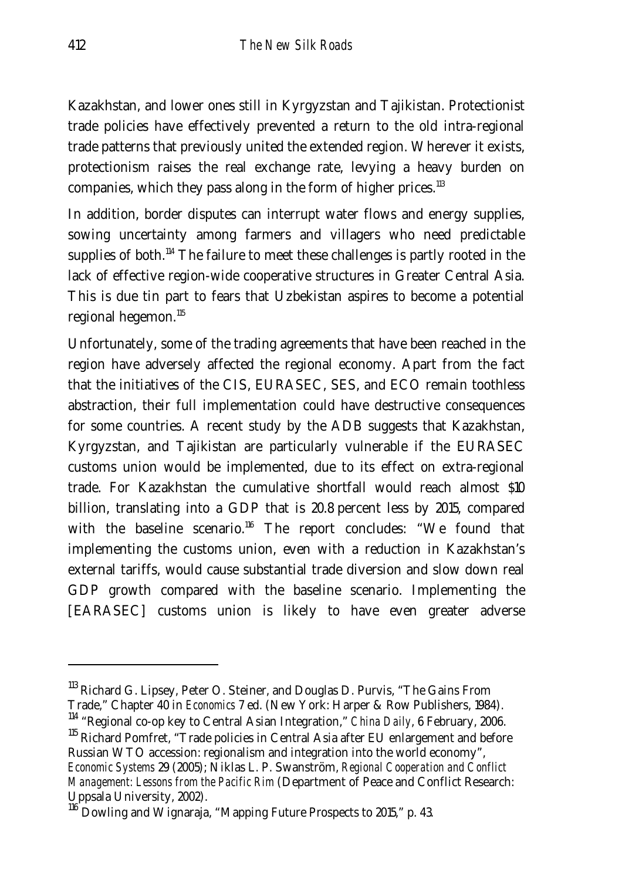Kazakhstan, and lower ones still in Kyrgyzstan and Tajikistan. Protectionist trade policies have effectively prevented a return to the old intra-regional trade patterns that previously united the extended region. Wherever it exists, protectionism raises the real exchange rate, levying a heavy burden on companies, which they pass along in the form of higher prices.<sup>113</sup>

In addition, border disputes can interrupt water flows and energy supplies, sowing uncertainty among farmers and villagers who need predictable supplies of both.<sup>114</sup> The failure to meet these challenges is partly rooted in the lack of effective region-wide cooperative structures in Greater Central Asia. This is due tin part to fears that Uzbekistan aspires to become a potential regional hegemon.<sup>115</sup>

Unfortunately, some of the trading agreements that have been reached in the region have adversely affected the regional economy. Apart from the fact that the initiatives of the CIS, EURASEC, SES, and ECO remain toothless abstraction, their full implementation could have destructive consequences for some countries. A recent study by the ADB suggests that Kazakhstan, Kyrgyzstan, and Tajikistan are particularly vulnerable if the EURASEC customs union would be implemented, due to its effect on extra-regional trade. For Kazakhstan the cumulative shortfall would reach almost \$10 billion, translating into a GDP that is 20.8 percent less by 2015, compared with the baseline scenario.<sup>116</sup> The report concludes: "We found that implementing the customs union, even with a reduction in Kazakhstan's external tariffs, would cause substantial trade diversion and slow down real GDP growth compared with the baseline scenario. Implementing the [EARASEC] customs union is likely to have even greater adverse

<sup>&</sup>lt;sup>113</sup> Richard G. Lipsey, Peter O. Steiner, and Douglas D. Purvis, "The Gains From Trade," Chapter 40 in *Economics* 7 ed. (New York: Harper & Row Publishers, 1984). 114 "Regional co-op key to Central Asian Integration," *China Daily*, 6 February, 2006.

<sup>&</sup>lt;sup>115</sup> Richard Pomfret, "Trade policies in Central Asia after EU enlargement and before Russian WTO accession: regionalism and integration into the world economy", *Economic Systems* 29 (2005); Niklas L. P. Swanström, *Regional Cooperation and Conflict Management: Lessons from the Pacific Rim* (Department of Peace and Conflict Research: Uppsala University, 2002).

<sup>116</sup> Dowling and Wignaraja, "Mapping Future Prospects to 2015," p. 43.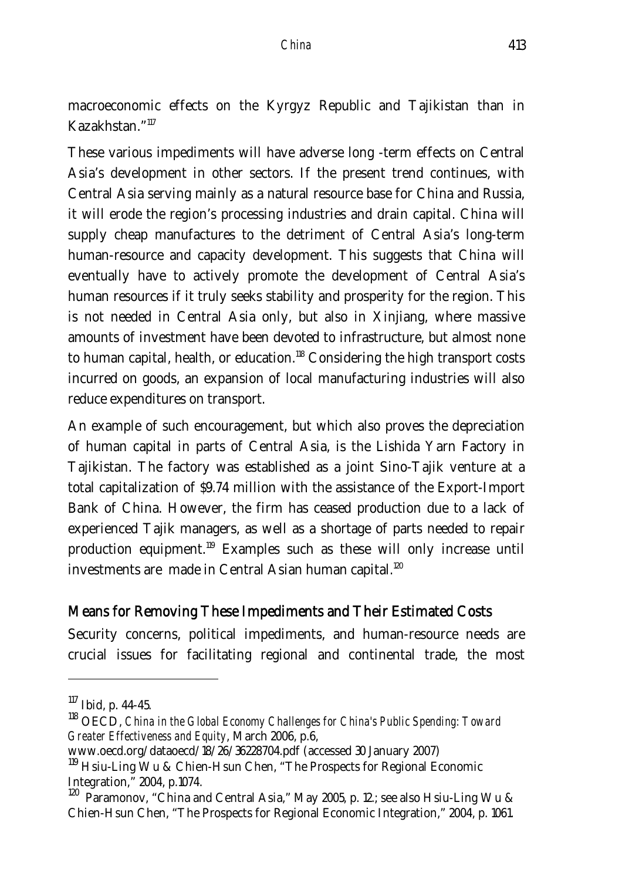macroeconomic effects on the Kyrgyz Republic and Tajikistan than in Kazakhstan."117

These various impediments will have adverse long -term effects on Central Asia's development in other sectors. If the present trend continues, with Central Asia serving mainly as a natural resource base for China and Russia, it will erode the region's processing industries and drain capital. China will supply cheap manufactures to the detriment of Central Asia's long-term human-resource and capacity development. This suggests that China will eventually have to actively promote the development of Central Asia's human resources if it truly seeks stability and prosperity for the region. This is not needed in Central Asia only, but also in Xinjiang, where massive amounts of investment have been devoted to infrastructure, but almost none to human capital, health, or education.<sup>118</sup> Considering the high transport costs incurred on goods, an expansion of local manufacturing industries will also reduce expenditures on transport.

An example of such encouragement, but which also proves the depreciation of human capital in parts of Central Asia, is the Lishida Yarn Factory in Tajikistan. The factory was established as a joint Sino-Tajik venture at a total capitalization of \$9.74 million with the assistance of the Export-Import Bank of China. However, the firm has ceased production due to a lack of experienced Tajik managers, as well as a shortage of parts needed to repair production equipment.119 Examples such as these will only increase until investments are made in Central Asian human capital.<sup>120</sup>

## Means for Removing These Impediments and Their Estimated Costs

Security concerns, political impediments, and human-resource needs are crucial issues for facilitating regional and continental trade, the most

 $117$  Ibid, p. 44-45.

<sup>118</sup> OECD, *China in the Global Economy Challenges for China's Public Spending: Toward Greater Effectiveness and Equity*, March 2006, p.6,

<sup>&</sup>lt;sup>119</sup> Hsiu-Ling Wu & Chien-Hsun Chen, "The Prospects for Regional Economic Integration," 2004, p.1074.

<sup>120</sup> Paramonov, "China and Central Asia," May 2005, p. 12.; see also Hsiu-Ling Wu & Chien-Hsun Chen, "The Prospects for Regional Economic Integration," 2004, p. 1061.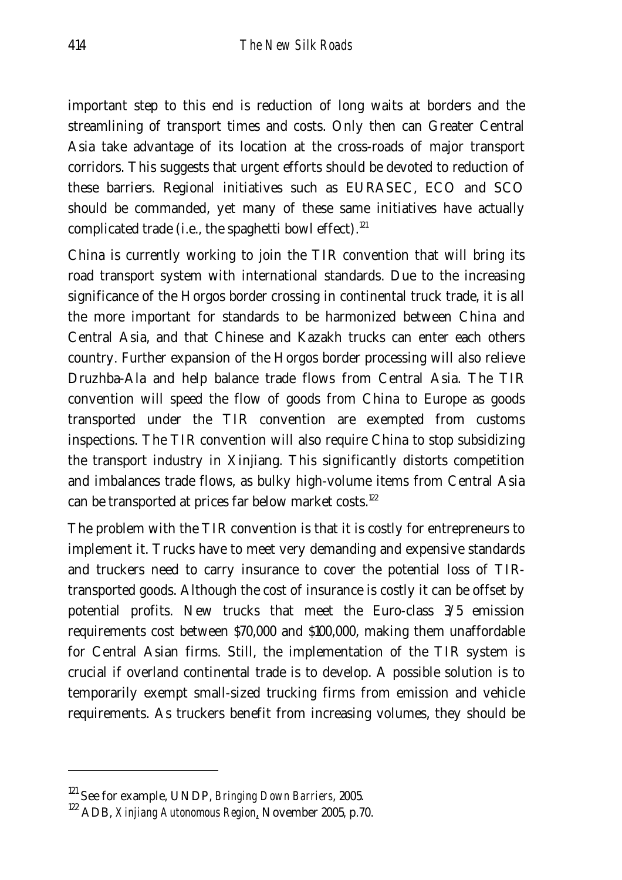important step to this end is reduction of long waits at borders and the streamlining of transport times and costs. Only then can Greater Central Asia take advantage of its location at the cross-roads of major transport corridors. This suggests that urgent efforts should be devoted to reduction of these barriers. Regional initiatives such as EURASEC, ECO and SCO should be commanded, yet many of these same initiatives have actually complicated trade (i.e., the spaghetti bowl effect).<sup>121</sup>

China is currently working to join the TIR convention that will bring its road transport system with international standards. Due to the increasing significance of the Horgos border crossing in continental truck trade, it is all the more important for standards to be harmonized between China and Central Asia, and that Chinese and Kazakh trucks can enter each others country. Further expansion of the Horgos border processing will also relieve Druzhba-Ala and help balance trade flows from Central Asia. The TIR convention will speed the flow of goods from China to Europe as goods transported under the TIR convention are exempted from customs inspections. The TIR convention will also require China to stop subsidizing the transport industry in Xinjiang. This significantly distorts competition and imbalances trade flows, as bulky high-volume items from Central Asia can be transported at prices far below market costs.<sup>122</sup>

The problem with the TIR convention is that it is costly for entrepreneurs to implement it. Trucks have to meet very demanding and expensive standards and truckers need to carry insurance to cover the potential loss of TIRtransported goods. Although the cost of insurance is costly it can be offset by potential profits. New trucks that meet the Euro-class 3/5 emission requirements cost between \$70,000 and \$100,000, making them unaffordable for Central Asian firms. Still, the implementation of the TIR system is crucial if overland continental trade is to develop. A possible solution is to temporarily exempt small-sized trucking firms from emission and vehicle requirements. As truckers benefit from increasing volumes, they should be

<sup>121</sup> See for example, UNDP, *Bringing Down Barriers*, 2005.

<sup>122</sup> ADB, *Xinjiang Autonomous Region*, November 2005, p.70.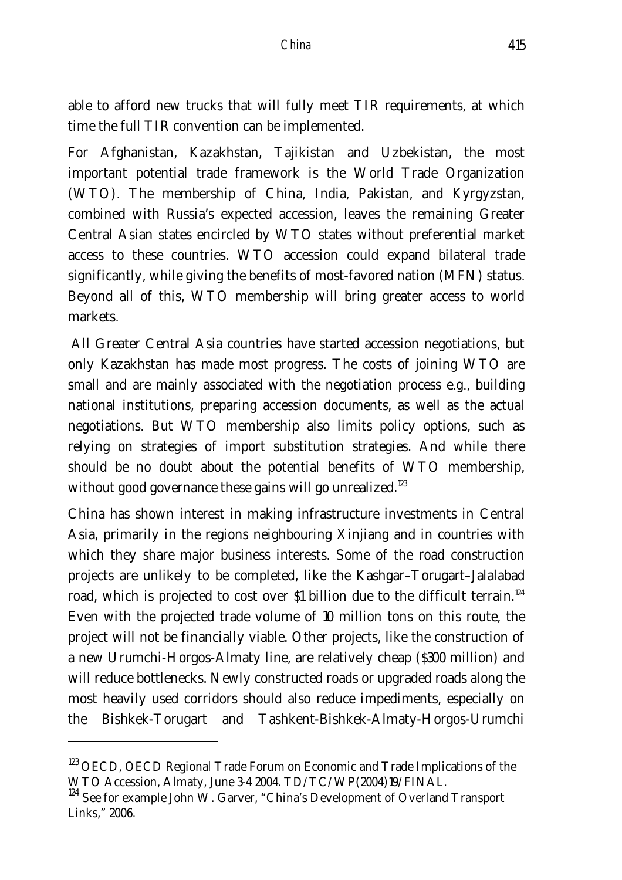able to afford new trucks that will fully meet TIR requirements, at which time the full TIR convention can be implemented.

For Afghanistan, Kazakhstan, Tajikistan and Uzbekistan, the most important potential trade framework is the World Trade Organization (WTO). The membership of China, India, Pakistan, and Kyrgyzstan, combined with Russia's expected accession, leaves the remaining Greater Central Asian states encircled by WTO states without preferential market access to these countries. WTO accession could expand bilateral trade significantly, while giving the benefits of most-favored nation (MFN) status. Beyond all of this, WTO membership will bring greater access to world markets.

 All Greater Central Asia countries have started accession negotiations, but only Kazakhstan has made most progress. The costs of joining WTO are small and are mainly associated with the negotiation process e.g., building national institutions, preparing accession documents, as well as the actual negotiations. But WTO membership also limits policy options, such as relying on strategies of import substitution strategies. And while there should be no doubt about the potential benefits of WTO membership, without good governance these gains will go unrealized.<sup>123</sup>

China has shown interest in making infrastructure investments in Central Asia, primarily in the regions neighbouring Xinjiang and in countries with which they share major business interests. Some of the road construction projects are unlikely to be completed, like the Kashgar–Torugart–Jalalabad road, which is projected to cost over \$1 billion due to the difficult terrain.<sup>124</sup> Even with the projected trade volume of 10 million tons on this route, the project will not be financially viable. Other projects, like the construction of a new Urumchi-Horgos-Almaty line, are relatively cheap (\$300 million) and will reduce bottlenecks. Newly constructed roads or upgraded roads along the most heavily used corridors should also reduce impediments, especially on the Bishkek-Torugart and Tashkent-Bishkek-Almaty-Horgos-Urumchi

<sup>&</sup>lt;sup>123</sup> OECD, OECD Regional Trade Forum on Economic and Trade Implications of the WTO Accession, Almaty, June 3-4 2004. TD/TC/WP(2004)19/FINAL.

 $124$  See for example John W. Garver, "China's Development of Overland Transport Links," 2006.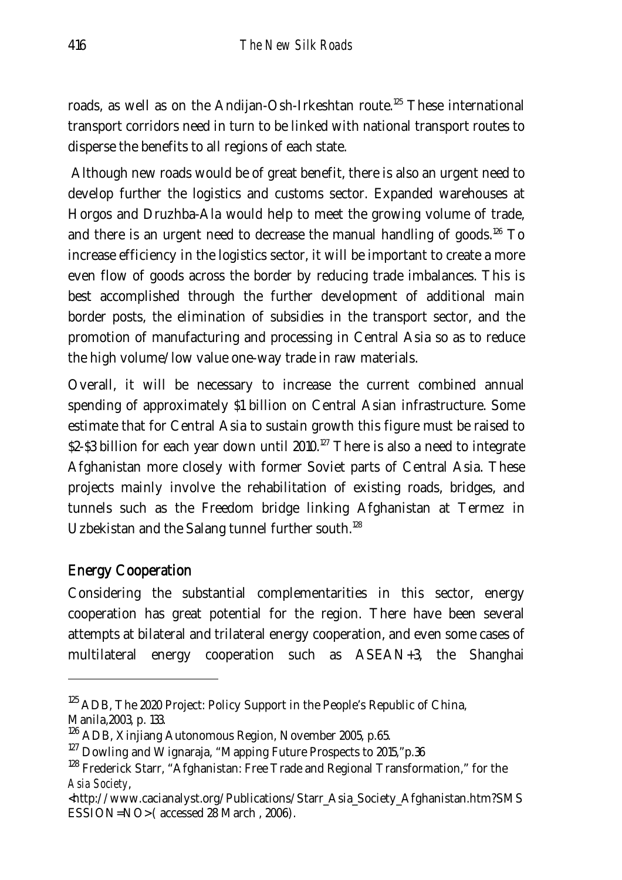roads, as well as on the Andijan-Osh-Irkeshtan route.<sup>125</sup> These international transport corridors need in turn to be linked with national transport routes to disperse the benefits to all regions of each state.

 Although new roads would be of great benefit, there is also an urgent need to develop further the logistics and customs sector. Expanded warehouses at Horgos and Druzhba-Ala would help to meet the growing volume of trade, and there is an urgent need to decrease the manual handling of goods.<sup>126</sup> To increase efficiency in the logistics sector, it will be important to create a more even flow of goods across the border by reducing trade imbalances. This is best accomplished through the further development of additional main border posts, the elimination of subsidies in the transport sector, and the promotion of manufacturing and processing in Central Asia so as to reduce the high volume/low value one-way trade in raw materials.

Overall, it will be necessary to increase the current combined annual spending of approximately \$1 billion on Central Asian infrastructure. Some estimate that for Central Asia to sustain growth this figure must be raised to \$2-\$3 billion for each year down until  $2010$ .<sup>127</sup> There is also a need to integrate Afghanistan more closely with former Soviet parts of Central Asia. These projects mainly involve the rehabilitation of existing roads, bridges, and tunnels such as the Freedom bridge linking Afghanistan at Termez in Uzbekistan and the Salang tunnel further south.<sup>128</sup>

## Energy Cooperation

 $\overline{a}$ 

Considering the substantial complementarities in this sector, energy cooperation has great potential for the region. There have been several attempts at bilateral and trilateral energy cooperation, and even some cases of multilateral energy cooperation such as ASEAN+3, the Shanghai

<sup>&</sup>lt;sup>125</sup> ADB, The 2020 Project: Policy Support in the People's Republic of China, Manila,2003, p. 133.

<sup>126</sup> ADB, Xinjiang Autonomous Region, November 2005, p.65.

<sup>127</sup> Dowling and Wignaraja, "Mapping Future Prospects to 2015,"p.36

<sup>128</sup> Frederick Starr, "Afghanistan: Free Trade and Regional Transformation," for the *Asia Society*,

<sup>&</sup>lt;http://www.cacianalyst.org/Publications/Starr\_Asia\_Society\_Afghanistan.htm?SMS ESSION=NO> ( accessed 28 March , 2006).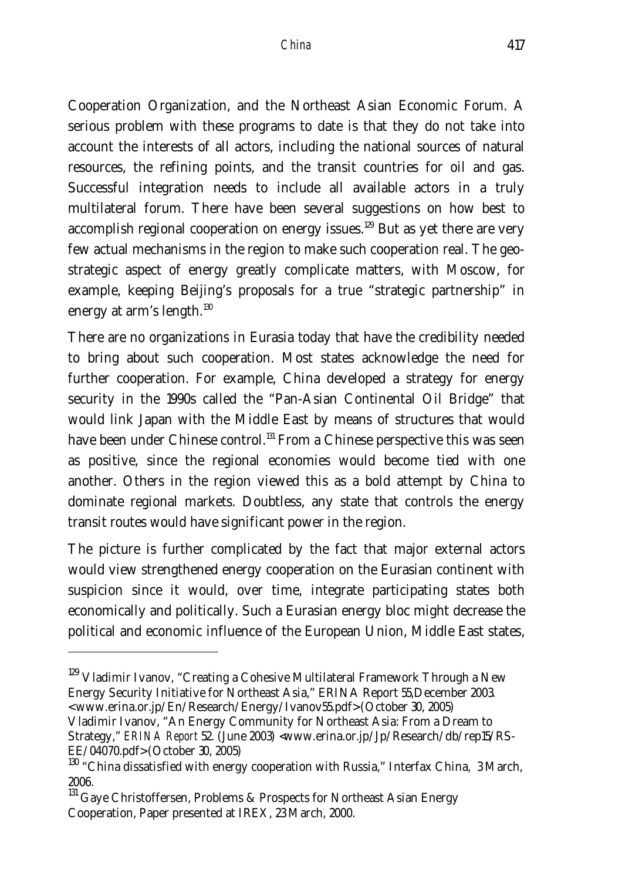Cooperation Organization, and the Northeast Asian Economic Forum. A serious problem with these programs to date is that they do not take into account the interests of all actors, including the national sources of natural resources, the refining points, and the transit countries for oil and gas. Successful integration needs to include all available actors in a truly multilateral forum. There have been several suggestions on how best to accomplish regional cooperation on energy issues.<sup>129</sup> But as yet there are very few actual mechanisms in the region to make such cooperation real. The geostrategic aspect of energy greatly complicate matters, with Moscow, for example, keeping Beijing's proposals for a true "strategic partnership" in energy at arm's length.<sup>130</sup>

There are no organizations in Eurasia today that have the credibility needed to bring about such cooperation. Most states acknowledge the need for further cooperation. For example, China developed a strategy for energy security in the 1990s called the "Pan-Asian Continental Oil Bridge" that would link Japan with the Middle East by means of structures that would have been under Chinese control.<sup>131</sup> From a Chinese perspective this was seen as positive, since the regional economies would become tied with one another. Others in the region viewed this as a bold attempt by China to dominate regional markets. Doubtless, any state that controls the energy transit routes would have significant power in the region.

The picture is further complicated by the fact that major external actors would view strengthened energy cooperation on the Eurasian continent with suspicion since it would, over time, integrate participating states both economically and politically. Such a Eurasian energy bloc might decrease the political and economic influence of the European Union, Middle East states,

<sup>129</sup> Vladimir Ivanov, "Creating a Cohesive Multilateral Framework Through a New Energy Security Initiative for Northeast Asia," ERINA Report 55,December 2003. < www.erina.or.jp/En/Research/Energy/Ivanov55.pdf> (October 30, 2005)

Vladimir Ivanov, "An Energy Community for Northeast Asia: From a Dream to Strategy," *ERINA Report* 52. (June 2003) <www.erina.or.jp/Jp/Research/db/rep15/RS-EE/04070.pdf> (October 30, 2005)

<sup>&</sup>lt;sup>130</sup> "China dissatisfied with energy cooperation with Russia," Interfax China, 3 March, 2006.

<sup>&</sup>lt;sup>131</sup> Gave Christoffersen, Problems & Prospects for Northeast Asian Energy Cooperation, Paper presented at IREX, 23 March, 2000.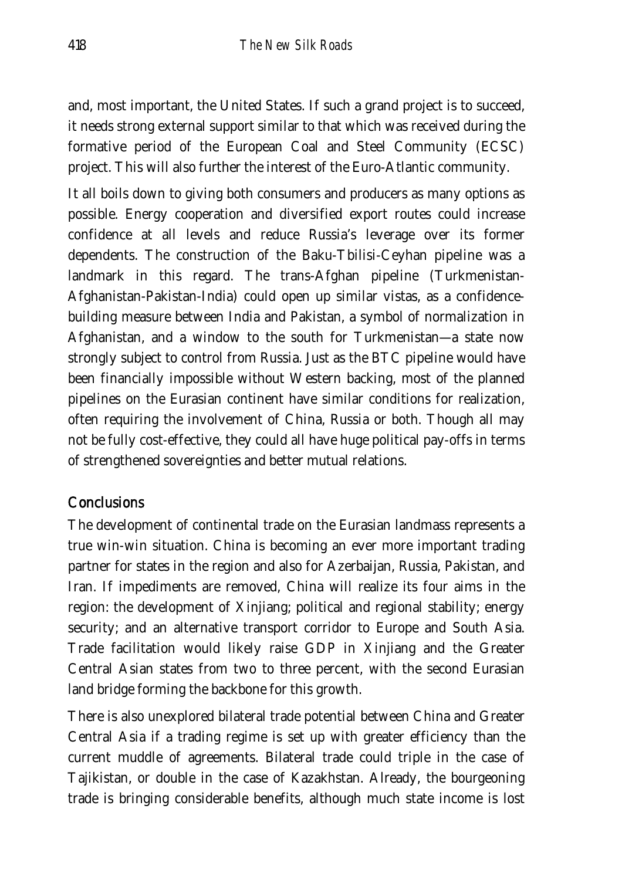and, most important, the United States. If such a grand project is to succeed, it needs strong external support similar to that which was received during the formative period of the European Coal and Steel Community (ECSC) project. This will also further the interest of the Euro-Atlantic community.

It all boils down to giving both consumers and producers as many options as possible. Energy cooperation and diversified export routes could increase confidence at all levels and reduce Russia's leverage over its former dependents. The construction of the Baku-Tbilisi-Ceyhan pipeline was a landmark in this regard. The trans-Afghan pipeline (Turkmenistan-Afghanistan-Pakistan-India) could open up similar vistas, as a confidencebuilding measure between India and Pakistan, a symbol of normalization in Afghanistan, and a window to the south for Turkmenistan—a state now strongly subject to control from Russia. Just as the BTC pipeline would have been financially impossible without Western backing, most of the planned pipelines on the Eurasian continent have similar conditions for realization, often requiring the involvement of China, Russia or both. Though all may not be fully cost-effective, they could all have huge political pay-offs in terms of strengthened sovereignties and better mutual relations.

## **Conclusions**

The development of continental trade on the Eurasian landmass represents a true win-win situation. China is becoming an ever more important trading partner for states in the region and also for Azerbaijan, Russia, Pakistan, and Iran. If impediments are removed, China will realize its four aims in the region: the development of Xinjiang; political and regional stability; energy security; and an alternative transport corridor to Europe and South Asia. Trade facilitation would likely raise GDP in Xinjiang and the Greater Central Asian states from two to three percent, with the second Eurasian land bridge forming the backbone for this growth.

There is also unexplored bilateral trade potential between China and Greater Central Asia if a trading regime is set up with greater efficiency than the current muddle of agreements. Bilateral trade could triple in the case of Tajikistan, or double in the case of Kazakhstan. Already, the bourgeoning trade is bringing considerable benefits, although much state income is lost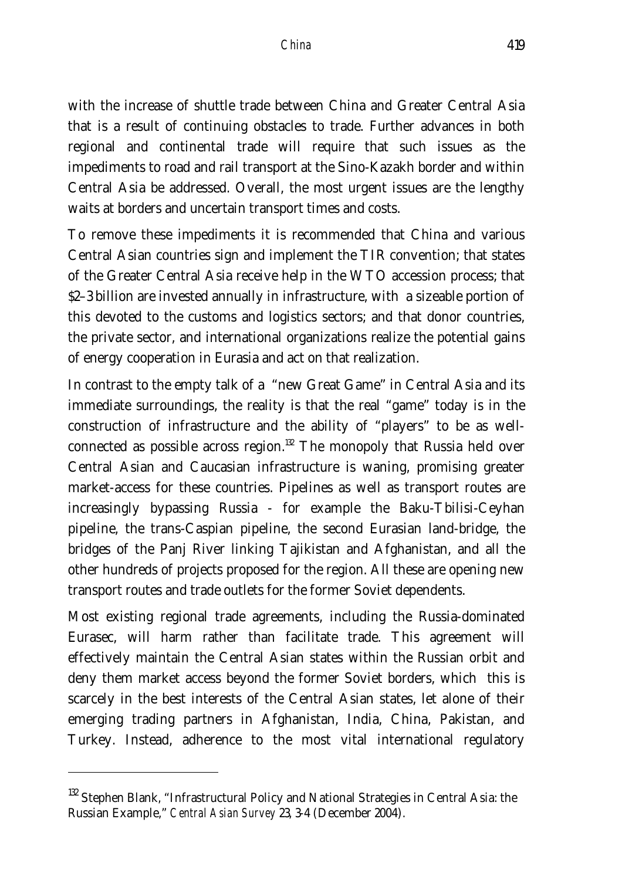with the increase of shuttle trade between China and Greater Central Asia that is a result of continuing obstacles to trade. Further advances in both regional and continental trade will require that such issues as the impediments to road and rail transport at the Sino-Kazakh border and within Central Asia be addressed. Overall, the most urgent issues are the lengthy waits at borders and uncertain transport times and costs.

To remove these impediments it is recommended that China and various Central Asian countries sign and implement the TIR convention; that states of the Greater Central Asia receive help in the WTO accession process; that \$2–3 billion are invested annually in infrastructure, with a sizeable portion of this devoted to the customs and logistics sectors; and that donor countries, the private sector, and international organizations realize the potential gains of energy cooperation in Eurasia and act on that realization.

In contrast to the empty talk of a "new Great Game" in Central Asia and its immediate surroundings, the reality is that the real "game" today is in the construction of infrastructure and the ability of "players" to be as wellconnected as possible across region.<sup>132</sup> The monopoly that Russia held over Central Asian and Caucasian infrastructure is waning, promising greater market-access for these countries. Pipelines as well as transport routes are increasingly bypassing Russia - for example the Baku-Tbilisi-Ceyhan pipeline, the trans-Caspian pipeline, the second Eurasian land-bridge, the bridges of the Panj River linking Tajikistan and Afghanistan, and all the other hundreds of projects proposed for the region. All these are opening new transport routes and trade outlets for the former Soviet dependents.

Most existing regional trade agreements, including the Russia-dominated Eurasec, will harm rather than facilitate trade. This agreement will effectively maintain the Central Asian states within the Russian orbit and deny them market access beyond the former Soviet borders, which this is scarcely in the best interests of the Central Asian states, let alone of their emerging trading partners in Afghanistan, India, China, Pakistan, and Turkey. Instead, adherence to the most vital international regulatory

<sup>&</sup>lt;sup>132</sup> Stephen Blank, "Infrastructural Policy and National Strategies in Central Asia: the Russian Example," *Central Asian Survey* 23, 3-4 (December 2004).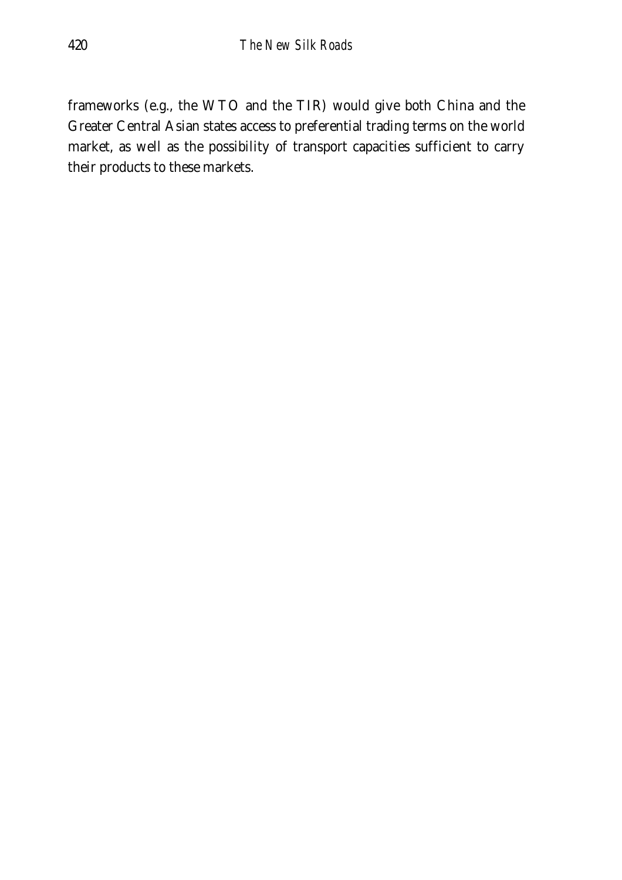frameworks (e.g., the WTO and the TIR) would give both China and the Greater Central Asian states access to preferential trading terms on the world market, as well as the possibility of transport capacities sufficient to carry their products to these markets.